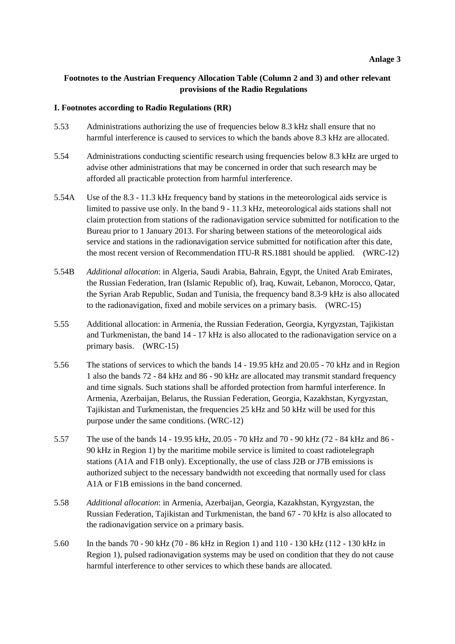# **Footnotes to the Austrian Frequency Allocation Table (Column 2 and 3) and other relevant provisions of the Radio Regulations**

#### **I. Footnotes according to Radio Regulations (RR)**

- 5.53 Administrations authorizing the use of frequencies below 8.3 kHz shall ensure that no harmful interference is caused to services to which the bands above 8.3 kHz are allocated.
- 5.54 Administrations conducting scientific research using frequencies below 8.3 kHz are urged to advise other administrations that may be concerned in order that such research may be afforded all practicable protection from harmful interference.
- 5.54A Use of the 8.3 11.3 kHz frequency band by stations in the meteorological aids service is limited to passive use only. In the band 9 - 11.3 kHz, meteorological aids stations shall not claim protection from stations of the radionavigation service submitted for notification to the Bureau prior to 1 January 2013. For sharing between stations of the meteorological aids service and stations in the radionavigation service submitted for notification after this date, the most recent version of Recommendation ITU-R RS.1881 should be applied. (WRC-12)
- 5.54B *Additional allocation*: in Algeria, Saudi Arabia, Bahrain, Egypt, the United Arab Emirates, the Russian Federation, Iran (Islamic Republic of), Iraq, Kuwait, Lebanon, Morocco, Qatar, the Syrian Arab Republic, Sudan and Tunisia, the frequency band 8.3-9 kHz is also allocated to the radionavigation, fixed and mobile services on a primary basis. (WRC-15)
- 5.55 Additional allocation: in Armenia, the Russian Federation, Georgia, Kyrgyzstan, Tajikistan and Turkmenistan, the band 14 - 17 kHz is also allocated to the radionavigation service on a primary basis. (WRC-15)
- 5.56 The stations of services to which the bands 14 19.95 kHz and 20.05 70 kHz and in Region 1 also the bands 72 - 84 kHz and 86 - 90 kHz are allocated may transmit standard frequency and time signals. Such stations shall be afforded protection from harmful interference. In Armenia, Azerbaijan, Belarus, the Russian Federation, Georgia, Kazakhstan, Kyrgyzstan, Tajikistan and Turkmenistan, the frequencies 25 kHz and 50 kHz will be used for this purpose under the same conditions. (WRC-12)
- 5.57 The use of the bands 14 19.95 kHz, 20.05 70 kHz and 70 90 kHz (72 84 kHz and 86 90 kHz in Region 1) by the maritime mobile service is limited to coast radiotelegraph stations (A1A and F1B only). Exceptionally, the use of class J2B or J7B emissions is authorized subject to the necessary bandwidth not exceeding that normally used for class A1A or F1B emissions in the band concerned.
- 5.58 *Additional allocation*: in Armenia, Azerbaijan, Georgia, Kazakhstan, Kyrgyzstan, the Russian Federation, Tajikistan and Turkmenistan, the band 67 - 70 kHz is also allocated to the radionavigation service on a primary basis.
- 5.60 In the bands 70 90 kHz (70 86 kHz in Region 1) and 110 130 kHz (112 130 kHz in Region 1), pulsed radionavigation systems may be used on condition that they do not cause harmful interference to other services to which these bands are allocated.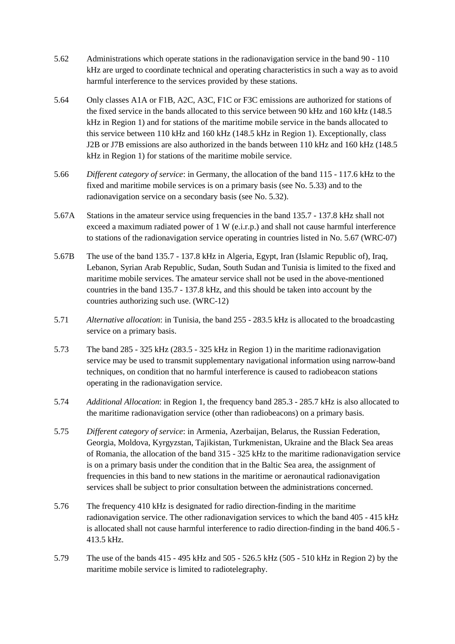- 5.62 Administrations which operate stations in the radionavigation service in the band 90 110 kHz are urged to coordinate technical and operating characteristics in such a way as to avoid harmful interference to the services provided by these stations.
- 5.64 Only classes A1A or F1B, A2C, A3C, F1C or F3C emissions are authorized for stations of the fixed service in the bands allocated to this service between 90 kHz and 160 kHz (148.5 kHz in Region 1) and for stations of the maritime mobile service in the bands allocated to this service between 110 kHz and 160 kHz (148.5 kHz in Region 1). Exceptionally, class J2B or J7B emissions are also authorized in the bands between 110 kHz and 160 kHz (148.5 kHz in Region 1) for stations of the maritime mobile service.
- 5.66 *Different category of service*: in Germany, the allocation of the band 115 117.6 kHz to the fixed and maritime mobile services is on a primary basis (see No. 5.33) and to the radionavigation service on a secondary basis (see No. 5.32).
- 5.67A Stations in the amateur service using frequencies in the band 135.7 137.8 kHz shall not exceed a maximum radiated power of 1 W (e.i.r.p.) and shall not cause harmful interference to stations of the radionavigation service operating in countries listed in No. 5.67 (WRC-07)
- 5.67B The use of the band 135.7 137.8 kHz in Algeria, Egypt, Iran (Islamic Republic of), Iraq, Lebanon, Syrian Arab Republic, Sudan, South Sudan and Tunisia is limited to the fixed and maritime mobile services. The amateur service shall not be used in the above-mentioned countries in the band 135.7 - 137.8 kHz, and this should be taken into account by the countries authorizing such use. (WRC-12)
- 5.71 *Alternative allocation*: in Tunisia, the band 255 283.5 kHz is allocated to the broadcasting service on a primary basis.
- 5.73 The band 285 325 kHz (283.5 325 kHz in Region 1) in the maritime radionavigation service may be used to transmit supplementary navigational information using narrow-band techniques, on condition that no harmful interference is caused to radiobeacon stations operating in the radionavigation service.
- 5.74 *Additional Allocation*: in Region 1, the frequency band 285.3 285.7 kHz is also allocated to the maritime radionavigation service (other than radiobeacons) on a primary basis.
- 5.75 *Different category of service*: in Armenia, Azerbaijan, Belarus, the Russian Federation, Georgia, Moldova, Kyrgyzstan, Tajikistan, Turkmenistan, Ukraine and the Black Sea areas of Romania, the allocation of the band 315 - 325 kHz to the maritime radionavigation service is on a primary basis under the condition that in the Baltic Sea area, the assignment of frequencies in this band to new stations in the maritime or aeronautical radionavigation services shall be subject to prior consultation between the administrations concerned.
- 5.76 The frequency 410 kHz is designated for radio direction-finding in the maritime radionavigation service. The other radionavigation services to which the band 405 - 415 kHz is allocated shall not cause harmful interference to radio direction-finding in the band 406.5 - 413.5 kHz.
- 5.79 The use of the bands 415 495 kHz and 505 526.5 kHz (505 510 kHz in Region 2) by the maritime mobile service is limited to radiotelegraphy.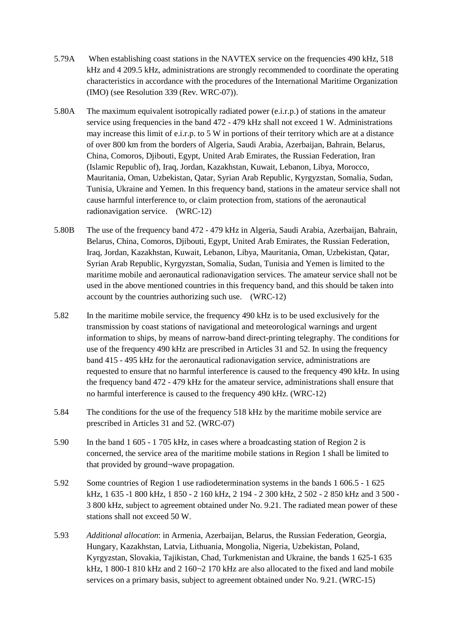- 5.79A When establishing coast stations in the NAVTEX service on the frequencies 490 kHz, 518 kHz and 4 209.5 kHz, administrations are strongly recommended to coordinate the operating characteristics in accordance with the procedures of the International Maritime Organization (IMO) (see Resolution 339 (Rev. WRC-07)).
- 5.80A The maximum equivalent isotropically radiated power (e.i.r.p.) of stations in the amateur service using frequencies in the band 472 - 479 kHz shall not exceed 1 W. Administrations may increase this limit of e.i.r.p. to 5 W in portions of their territory which are at a distance of over 800 km from the borders of Algeria, Saudi Arabia, Azerbaijan, Bahrain, Belarus, China, Comoros, Djibouti, Egypt, United Arab Emirates, the Russian Federation, Iran (Islamic Republic of), Iraq, Jordan, Kazakhstan, Kuwait, Lebanon, Libya, Morocco, Mauritania, Oman, Uzbekistan, Qatar, Syrian Arab Republic, Kyrgyzstan, Somalia, Sudan, Tunisia, Ukraine and Yemen. In this frequency band, stations in the amateur service shall not cause harmful interference to, or claim protection from, stations of the aeronautical radionavigation service. (WRC-12)
- 5.80B The use of the frequency band 472 479 kHz in Algeria, Saudi Arabia, Azerbaijan, Bahrain, Belarus, China, Comoros, Djibouti, Egypt, United Arab Emirates, the Russian Federation, Iraq, Jordan, Kazakhstan, Kuwait, Lebanon, Libya, Mauritania, Oman, Uzbekistan, Qatar, Syrian Arab Republic, Kyrgyzstan, Somalia, Sudan, Tunisia and Yemen is limited to the maritime mobile and aeronautical radionavigation services. The amateur service shall not be used in the above mentioned countries in this frequency band, and this should be taken into account by the countries authorizing such use. (WRC-12)
- 5.82 In the maritime mobile service, the frequency 490 kHz is to be used exclusively for the transmission by coast stations of navigational and meteorological warnings and urgent information to ships, by means of narrow-band direct-printing telegraphy. The conditions for use of the frequency 490 kHz are prescribed in Articles 31 and 52. In using the frequency band 415 - 495 kHz for the aeronautical radionavigation service, administrations are requested to ensure that no harmful interference is caused to the frequency 490 kHz. In using the frequency band 472 - 479 kHz for the amateur service, administrations shall ensure that no harmful interference is caused to the frequency 490 kHz. (WRC-12)
- 5.84 The conditions for the use of the frequency 518 kHz by the maritime mobile service are prescribed in Articles 31 and 52. (WRC-07)
- 5.90 In the band 1 605 1 705 kHz, in cases where a broadcasting station of Region 2 is concerned, the service area of the maritime mobile stations in Region 1 shall be limited to that provided by ground¬wave propagation.
- 5.92 Some countries of Region 1 use radiodetermination systems in the bands 1 606.5 1 625 kHz, 1 635 -1 800 kHz, 1 850 - 2 160 kHz, 2 194 - 2 300 kHz, 2 502 - 2 850 kHz and 3 500 - 3 800 kHz, subject to agreement obtained under No. 9.21. The radiated mean power of these stations shall not exceed 50 W.
- 5.93 *Additional allocation*: in Armenia, Azerbaijan, Belarus, the Russian Federation, Georgia, Hungary, Kazakhstan, Latvia, Lithuania, Mongolia, Nigeria, Uzbekistan, Poland, Kyrgyzstan, Slovakia, Tajikistan, Chad, Turkmenistan and Ukraine, the bands 1 625-1 635 kHz,  $1800-1810$  kHz and  $2160-2170$  kHz are also allocated to the fixed and land mobile services on a primary basis, subject to agreement obtained under No. 9.21. (WRC-15)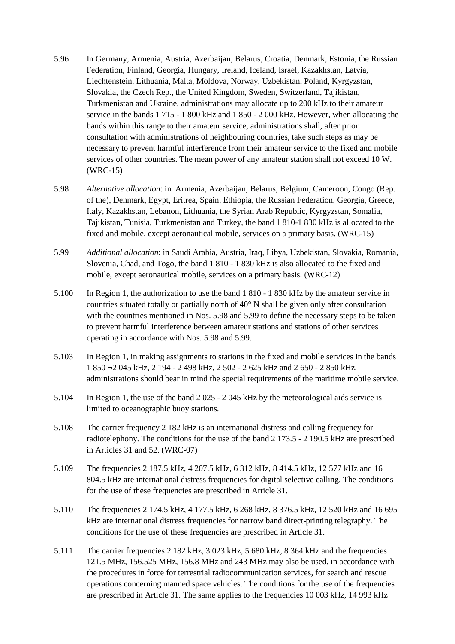- 5.96 In Germany, Armenia, Austria, Azerbaijan, Belarus, Croatia, Denmark, Estonia, the Russian Federation, Finland, Georgia, Hungary, Ireland, Iceland, Israel, Kazakhstan, Latvia, Liechtenstein, Lithuania, Malta, Moldova, Norway, Uzbekistan, Poland, Kyrgyzstan, Slovakia, the Czech Rep., the United Kingdom, Sweden, Switzerland, Tajikistan, Turkmenistan and Ukraine, administrations may allocate up to 200 kHz to their amateur service in the bands 1 715 - 1 800 kHz and 1 850 - 2 000 kHz. However, when allocating the bands within this range to their amateur service, administrations shall, after prior consultation with administrations of neighbouring countries, take such steps as may be necessary to prevent harmful interference from their amateur service to the fixed and mobile services of other countries. The mean power of any amateur station shall not exceed 10 W. (WRC-15)
- 5.98 *Alternative allocation*: in Armenia, Azerbaijan, Belarus, Belgium, Cameroon, Congo (Rep. of the), Denmark, Egypt, Eritrea, Spain, Ethiopia, the Russian Federation, Georgia, Greece, Italy, Kazakhstan, Lebanon, Lithuania, the Syrian Arab Republic, Kyrgyzstan, Somalia, Tajikistan, Tunisia, Turkmenistan and Turkey, the band 1 810-1 830 kHz is allocated to the fixed and mobile, except aeronautical mobile, services on a primary basis. (WRC-15)
- 5.99 *Additional allocation*: in Saudi Arabia, Austria, Iraq, Libya, Uzbekistan, Slovakia, Romania, Slovenia, Chad, and Togo, the band 1 810 - 1 830 kHz is also allocated to the fixed and mobile, except aeronautical mobile, services on a primary basis. (WRC-12)
- 5.100 In Region 1, the authorization to use the band 1 810 1 830 kHz by the amateur service in countries situated totally or partially north of 40° N shall be given only after consultation with the countries mentioned in Nos. 5.98 and 5.99 to define the necessary steps to be taken to prevent harmful interference between amateur stations and stations of other services operating in accordance with Nos. 5.98 and 5.99.
- 5.103 In Region 1, in making assignments to stations in the fixed and mobile services in the bands 1 850 ¬2 045 kHz, 2 194 - 2 498 kHz, 2 502 - 2 625 kHz and 2 650 - 2 850 kHz, administrations should bear in mind the special requirements of the maritime mobile service.
- 5.104 In Region 1, the use of the band 2 025 2 045 kHz by the meteorological aids service is limited to oceanographic buoy stations.
- 5.108 The carrier frequency 2 182 kHz is an international distress and calling frequency for radiotelephony. The conditions for the use of the band 2 173.5 - 2 190.5 kHz are prescribed in Articles 31 and 52. (WRC-07)
- 5.109 The frequencies 2 187.5 kHz, 4 207.5 kHz, 6 312 kHz, 8 414.5 kHz, 12 577 kHz and 16 804.5 kHz are international distress frequencies for digital selective calling. The conditions for the use of these frequencies are prescribed in Article 31.
- 5.110 The frequencies 2 174.5 kHz, 4 177.5 kHz, 6 268 kHz, 8 376.5 kHz, 12 520 kHz and 16 695 kHz are international distress frequencies for narrow band direct-printing telegraphy. The conditions for the use of these frequencies are prescribed in Article 31.
- 5.111 The carrier frequencies 2 182 kHz, 3 023 kHz, 5 680 kHz, 8 364 kHz and the frequencies 121.5 MHz, 156.525 MHz, 156.8 MHz and 243 MHz may also be used, in accordance with the procedures in force for terrestrial radiocommunication services, for search and rescue operations concerning manned space vehicles. The conditions for the use of the frequencies are prescribed in Article 31. The same applies to the frequencies 10 003 kHz, 14 993 kHz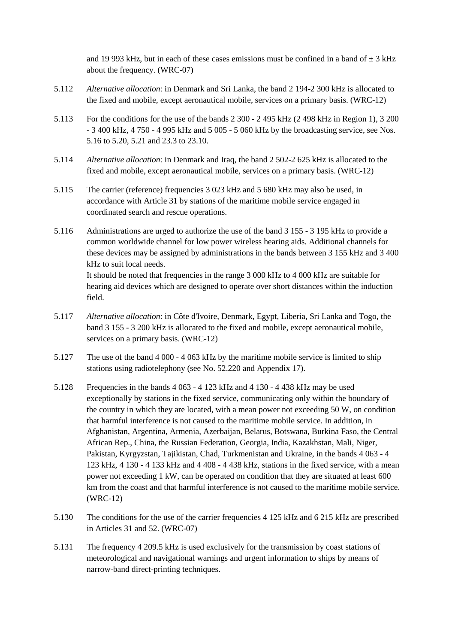and 19 993 kHz, but in each of these cases emissions must be confined in a band of  $\pm$  3 kHz about the frequency. (WRC-07)

- 5.112 *Alternative allocation*: in Denmark and Sri Lanka, the band 2 194-2 300 kHz is allocated to the fixed and mobile, except aeronautical mobile, services on a primary basis. (WRC-12)
- 5.113 For the conditions for the use of the bands 2 300 2 495 kHz (2 498 kHz in Region 1), 3 200 - 3 400 kHz, 4 750 - 4 995 kHz and 5 005 - 5 060 kHz by the broadcasting service, see Nos. 5.16 to 5.20, 5.21 and 23.3 to 23.10.
- 5.114 *Alternative allocation*: in Denmark and Iraq, the band 2 502-2 625 kHz is allocated to the fixed and mobile, except aeronautical mobile, services on a primary basis. (WRC-12)
- 5.115 The carrier (reference) frequencies 3 023 kHz and 5 680 kHz may also be used, in accordance with Article 31 by stations of the maritime mobile service engaged in coordinated search and rescue operations.
- 5.116 Administrations are urged to authorize the use of the band 3 155 3 195 kHz to provide a common worldwide channel for low power wireless hearing aids. Additional channels for these devices may be assigned by administrations in the bands between 3 155 kHz and 3 400 kHz to suit local needs. It should be noted that frequencies in the range 3 000 kHz to 4 000 kHz are suitable for hearing aid devices which are designed to operate over short distances within the induction field.
- 5.117 *Alternative allocation*: in Côte d'Ivoire, Denmark, Egypt, Liberia, Sri Lanka and Togo, the band 3 155 - 3 200 kHz is allocated to the fixed and mobile, except aeronautical mobile, services on a primary basis. (WRC-12)
- 5.127 The use of the band 4 000 4 063 kHz by the maritime mobile service is limited to ship stations using radiotelephony (see No. 52.220 and Appendix 17).
- 5.128 Frequencies in the bands 4 063 4 123 kHz and 4 130 4 438 kHz may be used exceptionally by stations in the fixed service, communicating only within the boundary of the country in which they are located, with a mean power not exceeding 50 W, on condition that harmful interference is not caused to the maritime mobile service. In addition, in Afghanistan, Argentina, Armenia, Azerbaijan, Belarus, Botswana, Burkina Faso, the Central African Rep., China, the Russian Federation, Georgia, India, Kazakhstan, Mali, Niger, Pakistan, Kyrgyzstan, Tajikistan, Chad, Turkmenistan and Ukraine, in the bands 4 063 - 4 123 kHz, 4 130 - 4 133 kHz and 4 408 - 4 438 kHz, stations in the fixed service, with a mean power not exceeding 1 kW, can be operated on condition that they are situated at least 600 km from the coast and that harmful interference is not caused to the maritime mobile service. (WRC-12)
- 5.130 The conditions for the use of the carrier frequencies 4 125 kHz and 6 215 kHz are prescribed in Articles 31 and 52. (WRC-07)
- 5.131 The frequency 4 209.5 kHz is used exclusively for the transmission by coast stations of meteorological and navigational warnings and urgent information to ships by means of narrow-band direct-printing techniques.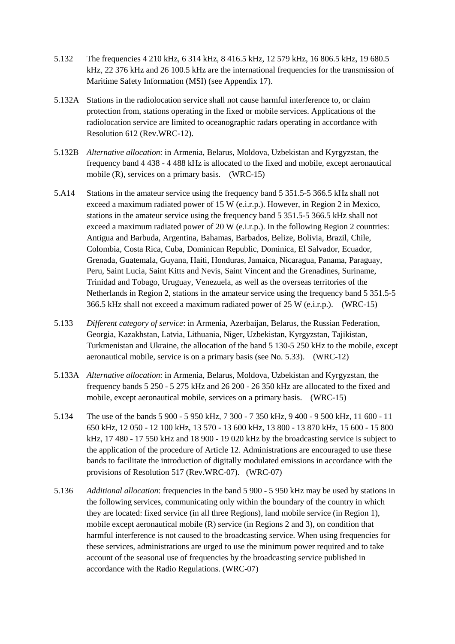- 5.132 The frequencies 4 210 kHz, 6 314 kHz, 8 416.5 kHz, 12 579 kHz, 16 806.5 kHz, 19 680.5 kHz, 22 376 kHz and 26 100.5 kHz are the international frequencies for the transmission of Maritime Safety Information (MSI) (see Appendix 17).
- 5.132A Stations in the radiolocation service shall not cause harmful interference to, or claim protection from, stations operating in the fixed or mobile services. Applications of the radiolocation service are limited to oceanographic radars operating in accordance with Resolution 612 (Rev.WRC-12).
- 5.132B *Alternative allocation*: in Armenia, Belarus, Moldova, Uzbekistan and Kyrgyzstan, the frequency band 4 438 - 4 488 kHz is allocated to the fixed and mobile, except aeronautical mobile (R), services on a primary basis. (WRC-15)
- 5.A14 Stations in the amateur service using the frequency band 5 351.5-5 366.5 kHz shall not exceed a maximum radiated power of 15 W (e.i.r.p.). However, in Region 2 in Mexico, stations in the amateur service using the frequency band 5 351.5-5 366.5 kHz shall not exceed a maximum radiated power of 20 W (e.i.r.p.). In the following Region 2 countries: Antigua and Barbuda, Argentina, Bahamas, Barbados, Belize, Bolivia, Brazil, Chile, Colombia, Costa Rica, Cuba, Dominican Republic, Dominica, El Salvador, Ecuador, Grenada, Guatemala, Guyana, Haiti, Honduras, Jamaica, Nicaragua, Panama, Paraguay, Peru, Saint Lucia, Saint Kitts and Nevis, Saint Vincent and the Grenadines, Suriname, Trinidad and Tobago, Uruguay, Venezuela, as well as the overseas territories of the Netherlands in Region 2, stations in the amateur service using the frequency band 5 351.5-5 366.5 kHz shall not exceed a maximum radiated power of 25 W (e.i.r.p.). (WRC-15)
- 5.133 *Different category of service*: in Armenia, Azerbaijan, Belarus, the Russian Federation, Georgia, Kazakhstan, Latvia, Lithuania, Niger, Uzbekistan, Kyrgyzstan, Tajikistan, Turkmenistan and Ukraine, the allocation of the band 5 130-5 250 kHz to the mobile, except aeronautical mobile, service is on a primary basis (see No. 5.33). (WRC-12)
- 5.133A *Alternative allocation*: in Armenia, Belarus, Moldova, Uzbekistan and Kyrgyzstan, the frequency bands 5 250 - 5 275 kHz and 26 200 - 26 350 kHz are allocated to the fixed and mobile, except aeronautical mobile, services on a primary basis. (WRC-15)
- 5.134 The use of the bands 5 900 5 950 kHz, 7 300 7 350 kHz, 9 400 9 500 kHz, 11 600 11 650 kHz, 12 050 - 12 100 kHz, 13 570 - 13 600 kHz, 13 800 - 13 870 kHz, 15 600 - 15 800 kHz, 17 480 - 17 550 kHz and 18 900 - 19 020 kHz by the broadcasting service is subject to the application of the procedure of Article 12. Administrations are encouraged to use these bands to facilitate the introduction of digitally modulated emissions in accordance with the provisions of Resolution 517 (Rev.WRC-07). (WRC-07)
- 5.136 *Additional allocation*: frequencies in the band 5 900 5 950 kHz may be used by stations in the following services, communicating only within the boundary of the country in which they are located: fixed service (in all three Regions), land mobile service (in Region 1), mobile except aeronautical mobile (R) service (in Regions 2 and 3), on condition that harmful interference is not caused to the broadcasting service. When using frequencies for these services, administrations are urged to use the minimum power required and to take account of the seasonal use of frequencies by the broadcasting service published in accordance with the Radio Regulations. (WRC-07)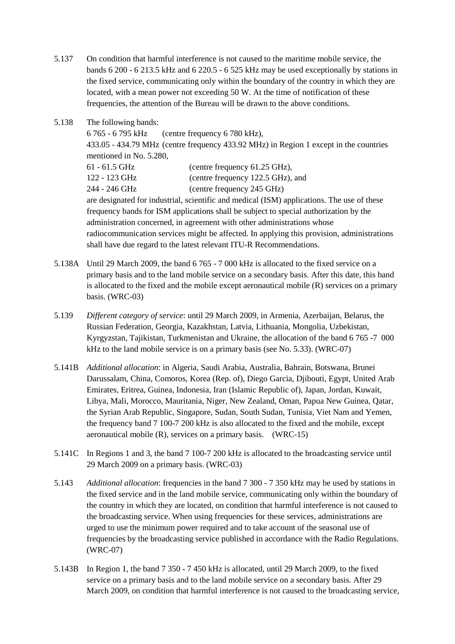5.137 On condition that harmful interference is not caused to the maritime mobile service, the bands 6 200 - 6 213.5 kHz and 6 220.5 - 6 525 kHz may be used exceptionally by stations in the fixed service, communicating only within the boundary of the country in which they are located, with a mean power not exceeding 50 W. At the time of notification of these frequencies, the attention of the Bureau will be drawn to the above conditions.

| 5.138 | The following bands:                                                                       |
|-------|--------------------------------------------------------------------------------------------|
|       | 6 765 - 6 795 kHz<br>(centre frequency 6 780 kHz),                                         |
|       | 433.05 - 434.79 MHz (centre frequency 433.92 MHz) in Region 1 except in the countries      |
|       | mentioned in No. 5.280,                                                                    |
|       | $61 - 61.5$ GHz<br>(centre frequency 61.25 GHz),                                           |
|       | (centre frequency 122.5 GHz), and<br>122 - 123 GHz                                         |
|       | 244 - 246 GHz<br>(centre frequency 245 GHz)                                                |
|       | are designated for industrial, scientific and medical (ISM) applications. The use of these |
|       | frequency bands for ISM applications shall be subject to special authorization by the      |
|       | administration concerned, in agreement with other administrations whose                    |
|       | radiocommunication services might be affected. In applying this provision, administrations |
|       | shall have due regard to the latest relevant ITU-R Recommendations.                        |

- 5.138A Until 29 March 2009, the band 6 765 7 000 kHz is allocated to the fixed service on a primary basis and to the land mobile service on a secondary basis. After this date, this band is allocated to the fixed and the mobile except aeronautical mobile (R) services on a primary basis. (WRC-03)
- 5.139 *Different category of service*: until 29 March 2009, in Armenia, Azerbaijan, Belarus, the Russian Federation, Georgia, Kazakhstan, Latvia, Lithuania, Mongolia, Uzbekistan, Kyrgyzstan, Tajikistan, Turkmenistan and Ukraine, the allocation of the band 6 765 -7 000 kHz to the land mobile service is on a primary basis (see No. 5.33). (WRC-07)
- 5.141B *Additional allocation*: in Algeria, Saudi Arabia, Australia, Bahrain, Botswana, Brunei Darussalam, China, Comoros, Korea (Rep. of), Diego Garcia, Djibouti, Egypt, United Arab Emirates, Eritrea, Guinea, Indonesia, Iran (Islamic Republic of), Japan, Jordan, Kuwait, Libya, Mali, Morocco, Mauritania, Niger, New Zealand, Oman, Papua New Guinea, Qatar, the Syrian Arab Republic, Singapore, Sudan, South Sudan, Tunisia, Viet Nam and Yemen, the frequency band 7 100-7 200 kHz is also allocated to the fixed and the mobile, except aeronautical mobile (R), services on a primary basis. (WRC-15)
- 5.141C In Regions 1 and 3, the band 7 100-7 200 kHz is allocated to the broadcasting service until 29 March 2009 on a primary basis. (WRC-03)
- 5.143 *Additional allocation*: frequencies in the band 7 300 7 350 kHz may be used by stations in the fixed service and in the land mobile service, communicating only within the boundary of the country in which they are located, on condition that harmful interference is not caused to the broadcasting service. When using frequencies for these services, administrations are urged to use the minimum power required and to take account of the seasonal use of frequencies by the broadcasting service published in accordance with the Radio Regulations. (WRC-07)
- 5.143B In Region 1, the band 7 350 7 450 kHz is allocated, until 29 March 2009, to the fixed service on a primary basis and to the land mobile service on a secondary basis. After 29 March 2009, on condition that harmful interference is not caused to the broadcasting service,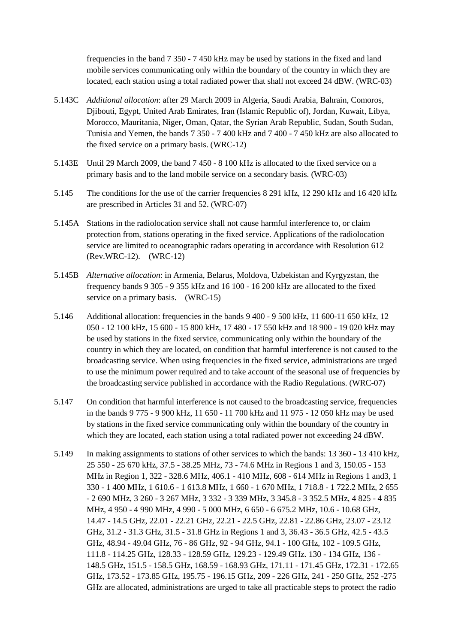frequencies in the band 7 350 - 7 450 kHz may be used by stations in the fixed and land mobile services communicating only within the boundary of the country in which they are located, each station using a total radiated power that shall not exceed 24 dBW. (WRC-03)

- 5.143C *Additional allocation*: after 29 March 2009 in Algeria, Saudi Arabia, Bahrain, Comoros, Djibouti, Egypt, United Arab Emirates, Iran (Islamic Republic of), Jordan, Kuwait, Libya, Morocco, Mauritania, Niger, Oman, Qatar, the Syrian Arab Republic, Sudan, South Sudan, Tunisia and Yemen, the bands 7 350 - 7 400 kHz and 7 400 - 7 450 kHz are also allocated to the fixed service on a primary basis. (WRC-12)
- 5.143E Until 29 March 2009, the band 7 450 8 100 kHz is allocated to the fixed service on a primary basis and to the land mobile service on a secondary basis. (WRC-03)
- 5.145 The conditions for the use of the carrier frequencies 8 291 kHz, 12 290 kHz and 16 420 kHz are prescribed in Articles 31 and 52. (WRC-07)
- 5.145A Stations in the radiolocation service shall not cause harmful interference to, or claim protection from, stations operating in the fixed service. Applications of the radiolocation service are limited to oceanographic radars operating in accordance with Resolution 612 (Rev.WRC-12). (WRC-12)
- 5.145B *Alternative allocation*: in Armenia, Belarus, Moldova, Uzbekistan and Kyrgyzstan, the frequency bands 9 305 - 9 355 kHz and 16 100 - 16 200 kHz are allocated to the fixed service on a primary basis. (WRC-15)
- 5.146 Additional allocation: frequencies in the bands 9 400 9 500 kHz, 11 600-11 650 kHz, 12 050 - 12 100 kHz, 15 600 - 15 800 kHz, 17 480 - 17 550 kHz and 18 900 - 19 020 kHz may be used by stations in the fixed service, communicating only within the boundary of the country in which they are located, on condition that harmful interference is not caused to the broadcasting service. When using frequencies in the fixed service, administrations are urged to use the minimum power required and to take account of the seasonal use of frequencies by the broadcasting service published in accordance with the Radio Regulations. (WRC-07)
- 5.147 On condition that harmful interference is not caused to the broadcasting service, frequencies in the bands 9 775 - 9 900 kHz, 11 650 - 11 700 kHz and 11 975 - 12 050 kHz may be used by stations in the fixed service communicating only within the boundary of the country in which they are located, each station using a total radiated power not exceeding 24 dBW.
- 5.149 In making assignments to stations of other services to which the bands: 13 360 13 410 kHz, 25 550 - 25 670 kHz, 37.5 - 38.25 MHz, 73 - 74.6 MHz in Regions 1 and 3, 150.05 - 153 MHz in Region 1, 322 - 328.6 MHz, 406.1 - 410 MHz, 608 - 614 MHz in Regions 1 and3, 1 330 - 1 400 MHz, 1 610.6 - 1 613.8 MHz, 1 660 - 1 670 MHz, 1 718.8 - 1 722.2 MHz, 2 655 - 2 690 MHz, 3 260 - 3 267 MHz, 3 332 - 3 339 MHz, 3 345.8 - 3 352.5 MHz, 4 825 - 4 835 MHz, 4 950 - 4 990 MHz, 4 990 - 5 000 MHz, 6 650 - 6 675.2 MHz, 10.6 - 10.68 GHz, 14.47 - 14.5 GHz, 22.01 - 22.21 GHz, 22.21 - 22.5 GHz, 22.81 - 22.86 GHz, 23.07 - 23.12 GHz, 31.2 - 31.3 GHz, 31.5 - 31.8 GHz in Regions 1 and 3, 36.43 - 36.5 GHz, 42.5 - 43.5 GHz, 48.94 - 49.04 GHz, 76 - 86 GHz, 92 - 94 GHz, 94.1 - 100 GHz, 102 - 109.5 GHz, 111.8 - 114.25 GHz, 128.33 - 128.59 GHz, 129.23 - 129.49 GHz. 130 - 134 GHz, 136 - 148.5 GHz, 151.5 - 158.5 GHz, 168.59 - 168.93 GHz, 171.11 - 171.45 GHz, 172.31 - 172.65 GHz, 173.52 - 173.85 GHz, 195.75 - 196.15 GHz, 209 - 226 GHz, 241 - 250 GHz, 252 -275 GHz are allocated, administrations are urged to take all practicable steps to protect the radio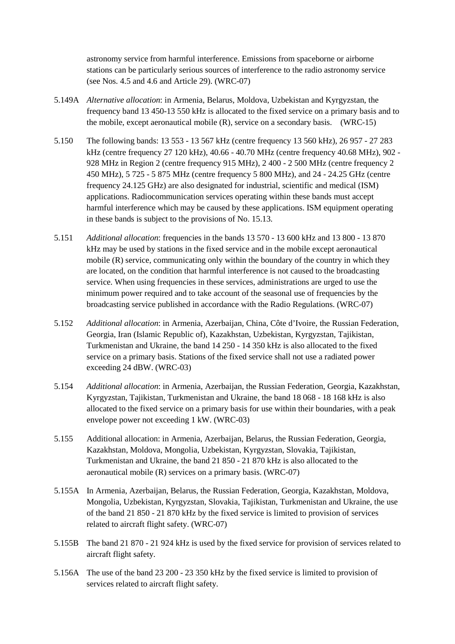astronomy service from harmful interference. Emissions from spaceborne or airborne stations can be particularly serious sources of interference to the radio astronomy service (see Nos. 4.5 and 4.6 and Article 29). (WRC-07)

- 5.149A *Alternative allocation*: in Armenia, Belarus, Moldova, Uzbekistan and Kyrgyzstan, the frequency band 13 450-13 550 kHz is allocated to the fixed service on a primary basis and to the mobile, except aeronautical mobile (R), service on a secondary basis. (WRC-15)
- 5.150 The following bands: 13 553 13 567 kHz (centre frequency 13 560 kHz), 26 957 27 283 kHz (centre frequency 27 120 kHz), 40.66 - 40.70 MHz (centre frequency 40.68 MHz), 902 - 928 MHz in Region 2 (centre frequency 915 MHz), 2 400 - 2 500 MHz (centre frequency 2 450 MHz), 5 725 - 5 875 MHz (centre frequency 5 800 MHz), and 24 - 24.25 GHz (centre frequency 24.125 GHz) are also designated for industrial, scientific and medical (ISM) applications. Radiocommunication services operating within these bands must accept harmful interference which may be caused by these applications. ISM equipment operating in these bands is subject to the provisions of No. 15.13.
- 5.151 *Additional allocation*: frequencies in the bands 13 570 13 600 kHz and 13 800 13 870 kHz may be used by stations in the fixed service and in the mobile except aeronautical mobile (R) service, communicating only within the boundary of the country in which they are located, on the condition that harmful interference is not caused to the broadcasting service. When using frequencies in these services, administrations are urged to use the minimum power required and to take account of the seasonal use of frequencies by the broadcasting service published in accordance with the Radio Regulations. (WRC-07)
- 5.152 *Additional allocation*: in Armenia, Azerbaijan, China, Côte d'Ivoire, the Russian Federation, Georgia, Iran (Islamic Republic of), Kazakhstan, Uzbekistan, Kyrgyzstan, Tajikistan, Turkmenistan and Ukraine, the band 14 250 - 14 350 kHz is also allocated to the fixed service on a primary basis. Stations of the fixed service shall not use a radiated power exceeding 24 dBW. (WRC-03)
- 5.154 *Additional allocation*: in Armenia, Azerbaijan, the Russian Federation, Georgia, Kazakhstan, Kyrgyzstan, Tajikistan, Turkmenistan and Ukraine, the band 18 068 - 18 168 kHz is also allocated to the fixed service on a primary basis for use within their boundaries, with a peak envelope power not exceeding 1 kW. (WRC-03)
- 5.155 Additional allocation: in Armenia, Azerbaijan, Belarus, the Russian Federation, Georgia, Kazakhstan, Moldova, Mongolia, Uzbekistan, Kyrgyzstan, Slovakia, Tajikistan, Turkmenistan and Ukraine, the band 21 850 - 21 870 kHz is also allocated to the aeronautical mobile (R) services on a primary basis. (WRC-07)
- 5.155A In Armenia, Azerbaijan, Belarus, the Russian Federation, Georgia, Kazakhstan, Moldova, Mongolia, Uzbekistan, Kyrgyzstan, Slovakia, Tajikistan, Turkmenistan and Ukraine, the use of the band 21 850 - 21 870 kHz by the fixed service is limited to provision of services related to aircraft flight safety. (WRC-07)
- 5.155B The band 21 870 21 924 kHz is used by the fixed service for provision of services related to aircraft flight safety.
- 5.156A The use of the band 23 200 23 350 kHz by the fixed service is limited to provision of services related to aircraft flight safety.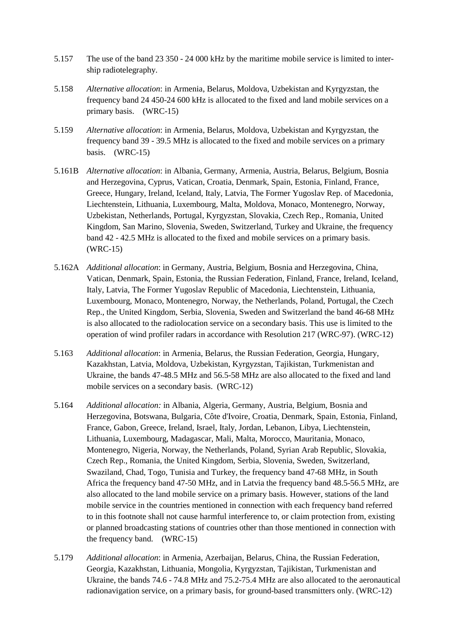- 5.157 The use of the band 23 350 24 000 kHz by the maritime mobile service is limited to intership radiotelegraphy.
- 5.158 *Alternative allocation*: in Armenia, Belarus, Moldova, Uzbekistan and Kyrgyzstan, the frequency band 24 450-24 600 kHz is allocated to the fixed and land mobile services on a primary basis. (WRC-15)
- 5.159 *Alternative allocation*: in Armenia, Belarus, Moldova, Uzbekistan and Kyrgyzstan, the frequency band 39 - 39.5 MHz is allocated to the fixed and mobile services on a primary basis. (WRC-15)
- 5.161B *Alternative allocation*: in Albania, Germany, Armenia, Austria, Belarus, Belgium, Bosnia and Herzegovina, Cyprus, Vatican, Croatia, Denmark, Spain, Estonia, Finland, France, Greece, Hungary, Ireland, Iceland, Italy, Latvia, The Former Yugoslav Rep. of Macedonia, Liechtenstein, Lithuania, Luxembourg, Malta, Moldova, Monaco, Montenegro, Norway, Uzbekistan, Netherlands, Portugal, Kyrgyzstan, Slovakia, Czech Rep., Romania, United Kingdom, San Marino, Slovenia, Sweden, Switzerland, Turkey and Ukraine, the frequency band 42 - 42.5 MHz is allocated to the fixed and mobile services on a primary basis. (WRC-15)
- 5.162A *Additional allocation*: in Germany, Austria, Belgium, Bosnia and Herzegovina, China, Vatican, Denmark, Spain, Estonia, the Russian Federation, Finland, France, Ireland, Iceland, Italy, Latvia, The Former Yugoslav Republic of Macedonia, Liechtenstein, Lithuania, Luxembourg, Monaco, Montenegro, Norway, the Netherlands, Poland, Portugal, the Czech Rep., the United Kingdom, Serbia, Slovenia, Sweden and Switzerland the band 46-68 MHz is also allocated to the radiolocation service on a secondary basis. This use is limited to the operation of wind profiler radars in accordance with Resolution 217 (WRC-97). (WRC-12)
- 5.163 *Additional allocation*: in Armenia, Belarus, the Russian Federation, Georgia, Hungary, Kazakhstan, Latvia, Moldova, Uzbekistan, Kyrgyzstan, Tajikistan, Turkmenistan and Ukraine, the bands 47-48.5 MHz and 56.5-58 MHz are also allocated to the fixed and land mobile services on a secondary basis. (WRC-12)
- 5.164 *Additional allocation:* in Albania, Algeria, Germany, Austria, Belgium, Bosnia and Herzegovina, Botswana, Bulgaria, Côte d'Ivoire, Croatia, Denmark, Spain, Estonia, Finland, France, Gabon, Greece, Ireland, Israel, Italy, Jordan, Lebanon, Libya, Liechtenstein, Lithuania, Luxembourg, Madagascar, Mali, Malta, Morocco, Mauritania, Monaco, Montenegro, Nigeria, Norway, the Netherlands, Poland, Syrian Arab Republic, Slovakia, Czech Rep., Romania, the United Kingdom, Serbia, Slovenia, Sweden, Switzerland, Swaziland, Chad, Togo, Tunisia and Turkey, the frequency band 47-68 MHz, in South Africa the frequency band 47-50 MHz, and in Latvia the frequency band 48.5-56.5 MHz, are also allocated to the land mobile service on a primary basis. However, stations of the land mobile service in the countries mentioned in connection with each frequency band referred to in this footnote shall not cause harmful interference to, or claim protection from, existing or planned broadcasting stations of countries other than those mentioned in connection with the frequency band. (WRC-15)
- 5.179 *Additional allocation*: in Armenia, Azerbaijan, Belarus, China, the Russian Federation, Georgia, Kazakhstan, Lithuania, Mongolia, Kyrgyzstan, Tajikistan, Turkmenistan and Ukraine, the bands 74.6 - 74.8 MHz and 75.2-75.4 MHz are also allocated to the aeronautical radionavigation service, on a primary basis, for ground-based transmitters only. (WRC-12)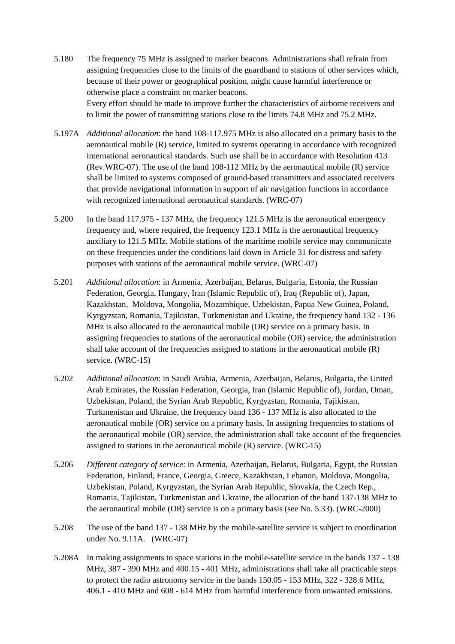- 5.180 The frequency 75 MHz is assigned to marker beacons. Administrations shall refrain from assigning frequencies close to the limits of the guardband to stations of other services which, because of their power or geographical position, might cause harmful interference or otherwise place a constraint on marker beacons. Every effort should be made to improve further the characteristics of airborne receivers and to limit the power of transmitting stations close to the limits 74.8 MHz and 75.2 MHz.
- 5.197A *Additional allocation*: the band 108-117.975 MHz is also allocated on a primary basis to the aeronautical mobile (R) service, limited to systems operating in accordance with recognized international aeronautical standards. Such use shall be in accordance with Resolution 413 (Rev.WRC-07). The use of the band 108-112 MHz by the aeronautical mobile (R) service shall be limited to systems composed of ground-based transmitters and associated receivers that provide navigational information in support of air navigation functions in accordance with recognized international aeronautical standards. (WRC-07)
- 5.200 In the band 117.975 137 MHz, the frequency 121.5 MHz is the aeronautical emergency frequency and, where required, the frequency 123.1 MHz is the aeronautical frequency auxiliary to 121.5 MHz. Mobile stations of the maritime mobile service may communicate on these frequencies under the conditions laid down in Article 31 for distress and safety purposes with stations of the aeronautical mobile service. (WRC-07)
- 5.201 *Additional allocation*: in Armenia, Azerbaijan, Belarus, Bulgaria, Estonia, the Russian Federation, Georgia, Hungary, Iran (Islamic Republic of), Iraq (Republic of), Japan, Kazakhstan, Moldova, Mongolia, Mozambique, Uzbekistan, Papua New Guinea, Poland, Kyrgyzstan, Romania, Tajikistan, Turkmenistan and Ukraine, the frequency band 132 - 136 MHz is also allocated to the aeronautical mobile (OR) service on a primary basis. In assigning frequencies to stations of the aeronautical mobile (OR) service, the administration shall take account of the frequencies assigned to stations in the aeronautical mobile (R) service. (WRC-15)
- 5.202 *Additional allocation*: in Saudi Arabia, Armenia, Azerbaijan, Belarus, Bulgaria, the United Arab Emirates, the Russian Federation, Georgia, Iran (Islamic Republic of), Jordan, Oman, Uzbekistan, Poland, the Syrian Arab Republic, Kyrgyzstan, Romania, Tajikistan, Turkmenistan and Ukraine, the frequency band 136 - 137 MHz is also allocated to the aeronautical mobile (OR) service on a primary basis. In assigning frequencies to stations of the aeronautical mobile (OR) service, the administration shall take account of the frequencies assigned to stations in the aeronautical mobile (R) service. (WRC-15)
- 5.206 *Different category of service*: in Armenia, Azerbaijan, Belarus, Bulgaria, Egypt, the Russian Federation, Finland, France, Georgia, Greece, Kazakhstan, Lebanon, Moldova, Mongolia, Uzbekistan, Poland, Kyrgyzstan, the Syrian Arab Republic, Slovakia, the Czech Rep., Romania, Tajikistan, Turkmenistan and Ukraine, the allocation of the band 137-138 MHz to the aeronautical mobile (OR) service is on a primary basis (see No. 5.33). (WRC-2000)
- 5.208 The use of the band 137 138 MHz by the mobile-satellite service is subject to coordination under No. 9.11A. (WRC-07)
- 5.208A In making assignments to space stations in the mobile-satellite service in the bands 137 138 MHz, 387 - 390 MHz and 400.15 - 401 MHz, administrations shall take all practicable steps to protect the radio astronomy service in the bands 150.05 - 153 MHz, 322 - 328.6 MHz, 406.1 - 410 MHz and 608 - 614 MHz from harmful interference from unwanted emissions.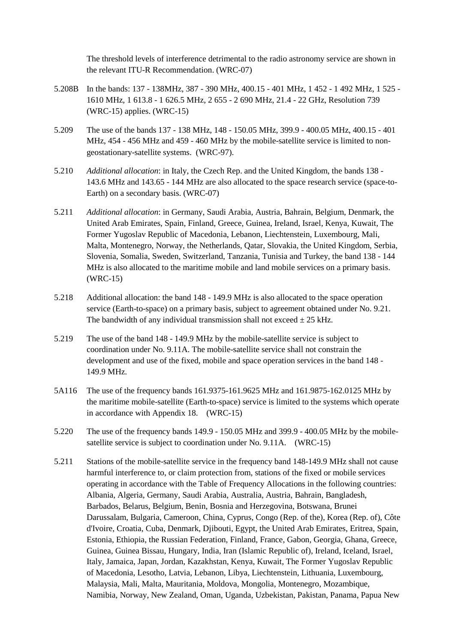The threshold levels of interference detrimental to the radio astronomy service are shown in the relevant ITU-R Recommendation. (WRC-07)

- 5.208B In the bands: 137 138MHz, 387 390 MHz, 400.15 401 MHz, 1 452 1 492 MHz, 1 525 1610 MHz, 1 613.8 - 1 626.5 MHz, 2 655 - 2 690 MHz, 21.4 - 22 GHz, Resolution 739 (WRC-15) applies. (WRC-15)
- 5.209 The use of the bands 137 138 MHz, 148 150.05 MHz, 399.9 400.05 MHz, 400.15 401 MHz, 454 - 456 MHz and 459 - 460 MHz by the mobile-satellite service is limited to nongeostationary-satellite systems. (WRC-97).
- 5.210 *Additional allocation*: in Italy, the Czech Rep. and the United Kingdom, the bands 138 143.6 MHz and 143.65 - 144 MHz are also allocated to the space research service (space-to-Earth) on a secondary basis. (WRC-07)
- 5.211 *Additional allocation*: in Germany, Saudi Arabia, Austria, Bahrain, Belgium, Denmark, the United Arab Emirates, Spain, Finland, Greece, Guinea, Ireland, Israel, Kenya, Kuwait, The Former Yugoslav Republic of Macedonia, Lebanon, Liechtenstein, Luxembourg, Mali, Malta, Montenegro, Norway, the Netherlands, Qatar, Slovakia, the United Kingdom, Serbia, Slovenia, Somalia, Sweden, Switzerland, Tanzania, Tunisia and Turkey, the band 138 - 144 MHz is also allocated to the maritime mobile and land mobile services on a primary basis. (WRC-15)
- 5.218 Additional allocation: the band 148 149.9 MHz is also allocated to the space operation service (Earth-to-space) on a primary basis, subject to agreement obtained under No. 9.21. The bandwidth of any individual transmission shall not exceed  $\pm$  25 kHz.
- 5.219 The use of the band 148 149.9 MHz by the mobile-satellite service is subject to coordination under No. 9.11A. The mobile-satellite service shall not constrain the development and use of the fixed, mobile and space operation services in the band 148 - 149.9 MHz.
- 5A116 The use of the frequency bands 161.9375-161.9625 MHz and 161.9875-162.0125 MHz by the maritime mobile-satellite (Earth-to-space) service is limited to the systems which operate in accordance with Appendix 18. (WRC-15)
- 5.220 The use of the frequency bands 149.9 150.05 MHz and 399.9 400.05 MHz by the mobilesatellite service is subject to coordination under No. 9.11A. (WRC-15)
- 5.211 Stations of the mobile-satellite service in the frequency band 148-149.9 MHz shall not cause harmful interference to, or claim protection from, stations of the fixed or mobile services operating in accordance with the Table of Frequency Allocations in the following countries: Albania, Algeria, Germany, Saudi Arabia, Australia, Austria, Bahrain, Bangladesh, Barbados, Belarus, Belgium, Benin, Bosnia and Herzegovina, Botswana, Brunei Darussalam, Bulgaria, Cameroon, China, Cyprus, Congo (Rep. of the), Korea (Rep. of), Côte d'Ivoire, Croatia, Cuba, Denmark, Djibouti, Egypt, the United Arab Emirates, Eritrea, Spain, Estonia, Ethiopia, the Russian Federation, Finland, France, Gabon, Georgia, Ghana, Greece, Guinea, Guinea Bissau, Hungary, India, Iran (Islamic Republic of), Ireland, Iceland, Israel, Italy, Jamaica, Japan, Jordan, Kazakhstan, Kenya, Kuwait, The Former Yugoslav Republic of Macedonia, Lesotho, Latvia, Lebanon, Libya, Liechtenstein, Lithuania, Luxembourg, Malaysia, Mali, Malta, Mauritania, Moldova, Mongolia, Montenegro, Mozambique, Namibia, Norway, New Zealand, Oman, Uganda, Uzbekistan, Pakistan, Panama, Papua New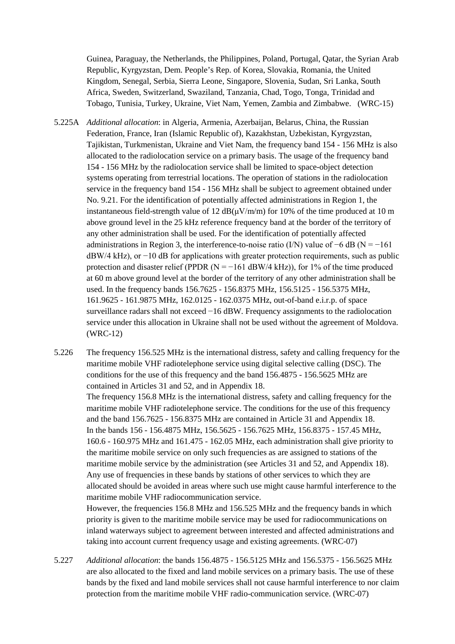Guinea, Paraguay, the Netherlands, the Philippines, Poland, Portugal, Qatar, the Syrian Arab Republic, Kyrgyzstan, Dem. People's Rep. of Korea, Slovakia, Romania, the United Kingdom, Senegal, Serbia, Sierra Leone, Singapore, Slovenia, Sudan, Sri Lanka, South Africa, Sweden, Switzerland, Swaziland, Tanzania, Chad, Togo, Tonga, Trinidad and Tobago, Tunisia, Turkey, Ukraine, Viet Nam, Yemen, Zambia and Zimbabwe. (WRC-15)

- 5.225A *Additional allocation*: in Algeria, Armenia, Azerbaijan, Belarus, China, the Russian Federation, France, Iran (Islamic Republic of), Kazakhstan, Uzbekistan, Kyrgyzstan, Tajikistan, Turkmenistan, Ukraine and Viet Nam, the frequency band 154 - 156 MHz is also allocated to the radiolocation service on a primary basis. The usage of the frequency band 154 - 156 MHz by the radiolocation service shall be limited to space-object detection systems operating from terrestrial locations. The operation of stations in the radiolocation service in the frequency band 154 - 156 MHz shall be subject to agreement obtained under No. 9.21. For the identification of potentially affected administrations in Region 1, the instantaneous field-strength value of 12  $dB(\mu V/m/m)$  for 10% of the time produced at 10 m above ground level in the 25 kHz reference frequency band at the border of the territory of any other administration shall be used. For the identification of potentially affected administrations in Region 3, the interference-to-noise ratio (I/N) value of  $-6$  dB (N =  $-161$ dBW/4 kHz), or −10 dB for applications with greater protection requirements, such as public protection and disaster relief (PPDR  $(N = -161$  dBW/4 kHz)), for 1% of the time produced at 60 m above ground level at the border of the territory of any other administration shall be used. In the frequency bands 156.7625 - 156.8375 MHz, 156.5125 - 156.5375 MHz, 161.9625 - 161.9875 MHz, 162.0125 - 162.0375 MHz, out-of-band e.i.r.p. of space surveillance radars shall not exceed −16 dBW. Frequency assignments to the radiolocation service under this allocation in Ukraine shall not be used without the agreement of Moldova. (WRC-12)
- 5.226 The frequency 156.525 MHz is the international distress, safety and calling frequency for the maritime mobile VHF radiotelephone service using digital selective calling (DSC). The conditions for the use of this frequency and the band 156.4875 - 156.5625 MHz are contained in Articles 31 and 52, and in Appendix 18.

The frequency 156.8 MHz is the international distress, safety and calling frequency for the maritime mobile VHF radiotelephone service. The conditions for the use of this frequency and the band 156.7625 - 156.8375 MHz are contained in Article 31 and Appendix 18. In the bands 156 - 156.4875 MHz, 156.5625 - 156.7625 MHz, 156.8375 - 157.45 MHz, 160.6 - 160.975 MHz and 161.475 - 162.05 MHz, each administration shall give priority to the maritime mobile service on only such frequencies as are assigned to stations of the maritime mobile service by the administration (see Articles 31 and 52, and Appendix 18). Any use of frequencies in these bands by stations of other services to which they are allocated should be avoided in areas where such use might cause harmful interference to the maritime mobile VHF radiocommunication service.

However, the frequencies 156.8 MHz and 156.525 MHz and the frequency bands in which priority is given to the maritime mobile service may be used for radiocommunications on inland waterways subject to agreement between interested and affected administrations and taking into account current frequency usage and existing agreements. (WRC-07)

5.227 *Additional allocation*: the bands 156.4875 - 156.5125 MHz and 156.5375 - 156.5625 MHz are also allocated to the fixed and land mobile services on a primary basis. The use of these bands by the fixed and land mobile services shall not cause harmful interference to nor claim protection from the maritime mobile VHF radio-communication service. (WRC-07)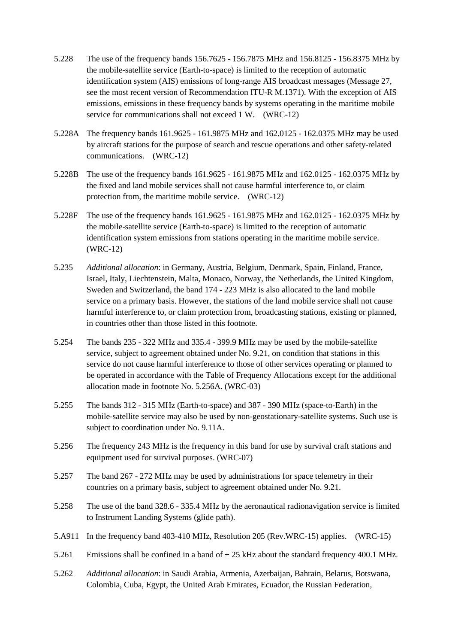- 5.228 The use of the frequency bands 156.7625 156.7875 MHz and 156.8125 156.8375 MHz by the mobile-satellite service (Earth-to-space) is limited to the reception of automatic identification system (AIS) emissions of long-range AIS broadcast messages (Message 27, see the most recent version of Recommendation ITU-R M.1371). With the exception of AIS emissions, emissions in these frequency bands by systems operating in the maritime mobile service for communications shall not exceed 1 W. (WRC-12)
- 5.228A The frequency bands 161.9625 161.9875 MHz and 162.0125 162.0375 MHz may be used by aircraft stations for the purpose of search and rescue operations and other safety-related communications. (WRC-12)
- 5.228B The use of the frequency bands 161.9625 161.9875 MHz and 162.0125 162.0375 MHz by the fixed and land mobile services shall not cause harmful interference to, or claim protection from, the maritime mobile service. (WRC-12)
- 5.228F The use of the frequency bands 161.9625 161.9875 MHz and 162.0125 162.0375 MHz by the mobile-satellite service (Earth-to-space) is limited to the reception of automatic identification system emissions from stations operating in the maritime mobile service. (WRC-12)
- 5.235 *Additional allocation*: in Germany, Austria, Belgium, Denmark, Spain, Finland, France, Israel, Italy, Liechtenstein, Malta, Monaco, Norway, the Netherlands, the United Kingdom, Sweden and Switzerland, the band 174 - 223 MHz is also allocated to the land mobile service on a primary basis. However, the stations of the land mobile service shall not cause harmful interference to, or claim protection from, broadcasting stations, existing or planned, in countries other than those listed in this footnote.
- 5.254 The bands 235 322 MHz and 335.4 399.9 MHz may be used by the mobile-satellite service, subject to agreement obtained under No. 9.21, on condition that stations in this service do not cause harmful interference to those of other services operating or planned to be operated in accordance with the Table of Frequency Allocations except for the additional allocation made in footnote No. 5.256A. (WRC-03)
- 5.255 The bands 312 315 MHz (Earth-to-space) and 387 390 MHz (space-to-Earth) in the mobile-satellite service may also be used by non-geostationary-satellite systems. Such use is subject to coordination under No. 9.11A.
- 5.256 The frequency 243 MHz is the frequency in this band for use by survival craft stations and equipment used for survival purposes. (WRC-07)
- 5.257 The band 267 272 MHz may be used by administrations for space telemetry in their countries on a primary basis, subject to agreement obtained under No. 9.21.
- 5.258 The use of the band 328.6 335.4 MHz by the aeronautical radionavigation service is limited to Instrument Landing Systems (glide path).
- 5.A911 In the frequency band 403-410 MHz, Resolution 205 (Rev.WRC-15) applies. (WRC-15)
- 5.261 Emissions shall be confined in a band of  $\pm$  25 kHz about the standard frequency 400.1 MHz.
- 5.262 *Additional allocation*: in Saudi Arabia, Armenia, Azerbaijan, Bahrain, Belarus, Botswana, Colombia, Cuba, Egypt, the United Arab Emirates, Ecuador, the Russian Federation,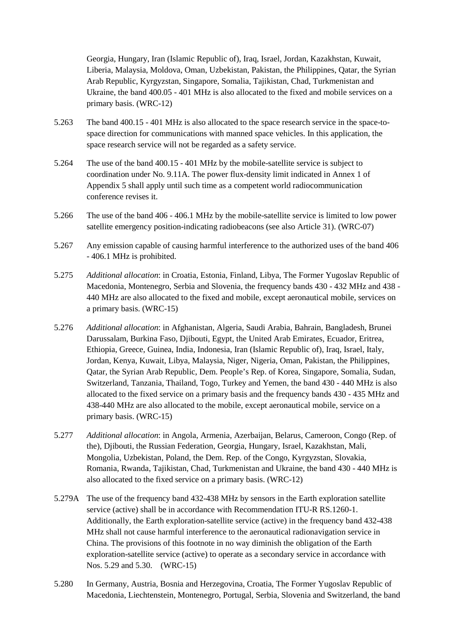Georgia, Hungary, Iran (Islamic Republic of), Iraq, Israel, Jordan, Kazakhstan, Kuwait, Liberia, Malaysia, Moldova, Oman, Uzbekistan, Pakistan, the Philippines, Qatar, the Syrian Arab Republic, Kyrgyzstan, Singapore, Somalia, Tajikistan, Chad, Turkmenistan and Ukraine, the band 400.05 - 401 MHz is also allocated to the fixed and mobile services on a primary basis. (WRC-12)

- 5.263 The band 400.15 401 MHz is also allocated to the space research service in the space-tospace direction for communications with manned space vehicles. In this application, the space research service will not be regarded as a safety service.
- 5.264 The use of the band 400.15 401 MHz by the mobile-satellite service is subject to coordination under No. 9.11A. The power flux-density limit indicated in Annex 1 of Appendix 5 shall apply until such time as a competent world radiocommunication conference revises it.
- 5.266 The use of the band 406 406.1 MHz by the mobile-satellite service is limited to low power satellite emergency position-indicating radiobeacons (see also Article 31). (WRC-07)
- 5.267 Any emission capable of causing harmful interference to the authorized uses of the band 406 - 406.1 MHz is prohibited.
- 5.275 *Additional allocation*: in Croatia, Estonia, Finland, Libya, The Former Yugoslav Republic of Macedonia, Montenegro, Serbia and Slovenia, the frequency bands 430 - 432 MHz and 438 - 440 MHz are also allocated to the fixed and mobile, except aeronautical mobile, services on a primary basis. (WRC-15)
- 5.276 *Additional allocation*: in Afghanistan, Algeria, Saudi Arabia, Bahrain, Bangladesh, Brunei Darussalam, Burkina Faso, Djibouti, Egypt, the United Arab Emirates, Ecuador, Eritrea, Ethiopia, Greece, Guinea, India, Indonesia, Iran (Islamic Republic of), Iraq, Israel, Italy, Jordan, Kenya, Kuwait, Libya, Malaysia, Niger, Nigeria, Oman, Pakistan, the Philippines, Qatar, the Syrian Arab Republic, Dem. People's Rep. of Korea, Singapore, Somalia, Sudan, Switzerland, Tanzania, Thailand, Togo, Turkey and Yemen, the band 430 - 440 MHz is also allocated to the fixed service on a primary basis and the frequency bands 430 - 435 MHz and 438-440 MHz are also allocated to the mobile, except aeronautical mobile, service on a primary basis. (WRC-15)
- 5.277 *Additional allocation*: in Angola, Armenia, Azerbaijan, Belarus, Cameroon, Congo (Rep. of the), Djibouti, the Russian Federation, Georgia, Hungary, Israel, Kazakhstan, Mali, Mongolia, Uzbekistan, Poland, the Dem. Rep. of the Congo, Kyrgyzstan, Slovakia, Romania, Rwanda, Tajikistan, Chad, Turkmenistan and Ukraine, the band 430 - 440 MHz is also allocated to the fixed service on a primary basis. (WRC-12)
- 5.279A The use of the frequency band 432-438 MHz by sensors in the Earth exploration satellite service (active) shall be in accordance with Recommendation ITU-R RS.1260-1. Additionally, the Earth exploration-satellite service (active) in the frequency band 432-438 MHz shall not cause harmful interference to the aeronautical radionavigation service in China. The provisions of this footnote in no way diminish the obligation of the Earth exploration-satellite service (active) to operate as a secondary service in accordance with Nos. 5.29 and 5.30. (WRC-15)
- 5.280 In Germany, Austria, Bosnia and Herzegovina, Croatia, The Former Yugoslav Republic of Macedonia, Liechtenstein, Montenegro, Portugal, Serbia, Slovenia and Switzerland, the band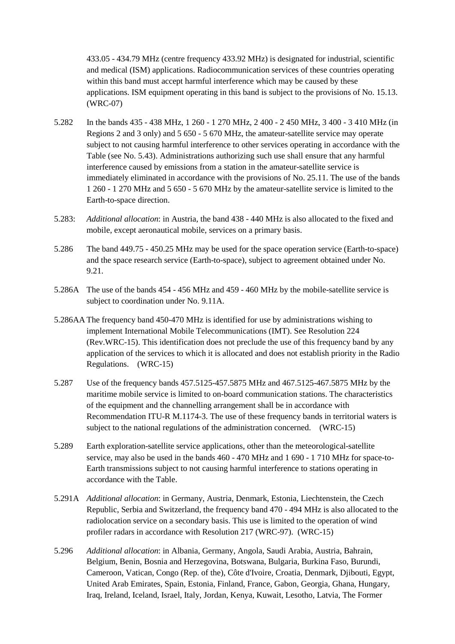433.05 - 434.79 MHz (centre frequency 433.92 MHz) is designated for industrial, scientific and medical (ISM) applications. Radiocommunication services of these countries operating within this band must accept harmful interference which may be caused by these applications. ISM equipment operating in this band is subject to the provisions of No. 15.13. (WRC-07)

- 5.282 In the bands 435 438 MHz, 1 260 1 270 MHz, 2 400 2 450 MHz, 3 400 3 410 MHz (in Regions 2 and 3 only) and 5 650 - 5 670 MHz, the amateur-satellite service may operate subject to not causing harmful interference to other services operating in accordance with the Table (see No. 5.43). Administrations authorizing such use shall ensure that any harmful interference caused by emissions from a station in the amateur-satellite service is immediately eliminated in accordance with the provisions of No. 25.11. The use of the bands 1 260 - 1 270 MHz and 5 650 - 5 670 MHz by the amateur-satellite service is limited to the Earth-to-space direction.
- 5.283: *Additional allocation*: in Austria, the band 438 440 MHz is also allocated to the fixed and mobile, except aeronautical mobile, services on a primary basis.
- 5.286 The band 449.75 450.25 MHz may be used for the space operation service (Earth-to-space) and the space research service (Earth-to-space), subject to agreement obtained under No. 9.21.
- 5.286A The use of the bands 454 456 MHz and 459 460 MHz by the mobile-satellite service is subject to coordination under No. 9.11A.
- 5.286AA The frequency band 450-470 MHz is identified for use by administrations wishing to implement International Mobile Telecommunications (IMT). See Resolution 224 (Rev.WRC-15). This identification does not preclude the use of this frequency band by any application of the services to which it is allocated and does not establish priority in the Radio Regulations. (WRC-15)
- 5.287 Use of the frequency bands 457.5125-457.5875 MHz and 467.5125-467.5875 MHz by the maritime mobile service is limited to on-board communication stations. The characteristics of the equipment and the channelling arrangement shall be in accordance with Recommendation ITU-R M.1174-3. The use of these frequency bands in territorial waters is subject to the national regulations of the administration concerned. (WRC-15)
- 5.289 Earth exploration-satellite service applications, other than the meteorological-satellite service, may also be used in the bands 460 - 470 MHz and 1 690 - 1 710 MHz for space-to-Earth transmissions subject to not causing harmful interference to stations operating in accordance with the Table.
- 5.291A *Additional allocation*: in Germany, Austria, Denmark, Estonia, Liechtenstein, the Czech Republic, Serbia and Switzerland, the frequency band 470 - 494 MHz is also allocated to the radiolocation service on a secondary basis. This use is limited to the operation of wind profiler radars in accordance with Resolution 217 (WRC-97). (WRC-15)
- 5.296 *Additional allocation*: in Albania, Germany, Angola, Saudi Arabia, Austria, Bahrain, Belgium, Benin, Bosnia and Herzegovina, Botswana, Bulgaria, Burkina Faso, Burundi, Cameroon, Vatican, Congo (Rep. of the), Côte d'Ivoire, Croatia, Denmark, Djibouti, Egypt, United Arab Emirates, Spain, Estonia, Finland, France, Gabon, Georgia, Ghana, Hungary, Iraq, Ireland, Iceland, Israel, Italy, Jordan, Kenya, Kuwait, Lesotho, Latvia, The Former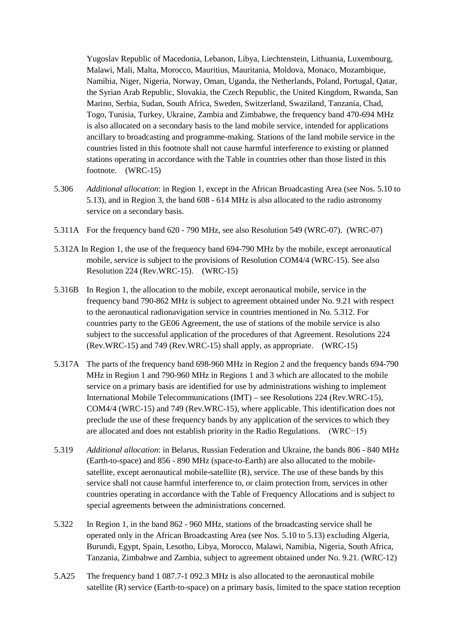Yugoslav Republic of Macedonia, Lebanon, Libya, Liechtenstein, Lithuania, Luxembourg, Malawi, Mali, Malta, Morocco, Mauritius, Mauritania, Moldova, Monaco, Mozambique, Namibia, Niger, Nigeria, Norway, Oman, Uganda, the Netherlands, Poland, Portugal, Qatar, the Syrian Arab Republic, Slovakia, the Czech Republic, the United Kingdom, Rwanda, San Marino, Serbia, Sudan, South Africa, Sweden, Switzerland, Swaziland, Tanzania, Chad, Togo, Tunisia, Turkey, Ukraine, Zambia and Zimbabwe, the frequency band 470-694 MHz is also allocated on a secondary basis to the land mobile service, intended for applications ancillary to broadcasting and programme-making. Stations of the land mobile service in the countries listed in this footnote shall not cause harmful interference to existing or planned stations operating in accordance with the Table in countries other than those listed in this footnote. (WRC-15)

- 5.306 *Additional allocation*: in Region 1, except in the African Broadcasting Area (see Nos. 5.10 to 5.13), and in Region 3, the band 608 - 614 MHz is also allocated to the radio astronomy service on a secondary basis.
- 5.311A For the frequency band 620 790 MHz, see also Resolution 549 (WRC-07). (WRC-07)
- 5.312A In Region 1, the use of the frequency band 694-790 MHz by the mobile, except aeronautical mobile, service is subject to the provisions of Resolution COM4/4 (WRC-15). See also Resolution 224 (Rev.WRC-15). (WRC-15)
- 5.316B In Region 1, the allocation to the mobile, except aeronautical mobile, service in the frequency band 790-862 MHz is subject to agreement obtained under No. 9.21 with respect to the aeronautical radionavigation service in countries mentioned in No. 5.312. For countries party to the GE06 Agreement, the use of stations of the mobile service is also subject to the successful application of the procedures of that Agreement. Resolutions 224 (Rev.WRC-15) and 749 (Rev.WRC-15) shall apply, as appropriate. (WRC-15)
- 5.317A The parts of the frequency band 698-960 MHz in Region 2 and the frequency bands 694-790 MHz in Region 1 and 790-960 MHz in Regions 1 and 3 which are allocated to the mobile service on a primary basis are identified for use by administrations wishing to implement International Mobile Telecommunications (IMT) – see Resolutions 224 (Rev.WRC-15), COM4/4 (WRC-15) and 749 (Rev.WRC-15), where applicable. This identification does not preclude the use of these frequency bands by any application of the services to which they are allocated and does not establish priority in the Radio Regulations. (WRC−15)
- 5.319 *Additional allocation*: in Belarus, Russian Federation and Ukraine, the bands 806 840 MHz (Earth-to-space) and 856 - 890 MHz (space-to-Earth) are also allocated to the mobilesatellite, except aeronautical mobile-satellite (R), service. The use of these bands by this service shall not cause harmful interference to, or claim protection from, services in other countries operating in accordance with the Table of Frequency Allocations and is subject to special agreements between the administrations concerned.
- 5.322 In Region 1, in the band 862 960 MHz, stations of the broadcasting service shall be operated only in the African Broadcasting Area (see Nos. 5.10 to 5.13) excluding Algeria, Burundi, Egypt, Spain, Lesotho, Libya, Morocco, Malawi, Namibia, Nigeria, South Africa, Tanzania, Zimbabwe and Zambia, subject to agreement obtained under No. 9.21. (WRC-12)
- 5.A25 The frequency band 1 087.7-1 092.3 MHz is also allocated to the aeronautical mobile satellite (R) service (Earth-to-space) on a primary basis, limited to the space station reception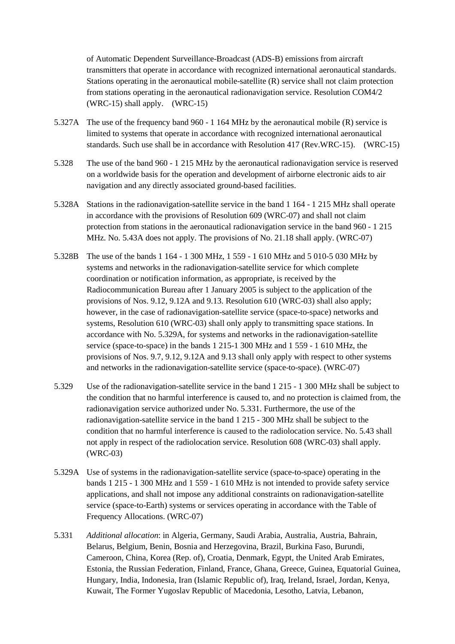of Automatic Dependent Surveillance-Broadcast (ADS-B) emissions from aircraft transmitters that operate in accordance with recognized international aeronautical standards. Stations operating in the aeronautical mobile-satellite (R) service shall not claim protection from stations operating in the aeronautical radionavigation service. Resolution COM4/2 (WRC-15) shall apply. (WRC-15)

- 5.327A The use of the frequency band 960 1 164 MHz by the aeronautical mobile (R) service is limited to systems that operate in accordance with recognized international aeronautical standards. Such use shall be in accordance with Resolution 417 (Rev.WRC-15). (WRC-15)
- 5.328 The use of the band 960 1 215 MHz by the aeronautical radionavigation service is reserved on a worldwide basis for the operation and development of airborne electronic aids to air navigation and any directly associated ground-based facilities.
- 5.328A Stations in the radionavigation-satellite service in the band 1 164 1 215 MHz shall operate in accordance with the provisions of Resolution 609 (WRC-07) and shall not claim protection from stations in the aeronautical radionavigation service in the band 960 - 1 215 MHz. No. 5.43A does not apply. The provisions of No. 21.18 shall apply. (WRC-07)
- 5.328B The use of the bands 1 164 1 300 MHz, 1 559 1 610 MHz and 5 010-5 030 MHz by systems and networks in the radionavigation-satellite service for which complete coordination or notification information, as appropriate, is received by the Radiocommunication Bureau after 1 January 2005 is subject to the application of the provisions of Nos. 9.12, 9.12A and 9.13. Resolution 610 (WRC-03) shall also apply; however, in the case of radionavigation-satellite service (space-to-space) networks and systems, Resolution 610 (WRC-03) shall only apply to transmitting space stations. In accordance with No. 5.329A, for systems and networks in the radionavigation-satellite service (space-to-space) in the bands 1 215-1 300 MHz and 1 559 - 1 610 MHz, the provisions of Nos. 9.7, 9.12, 9.12A and 9.13 shall only apply with respect to other systems and networks in the radionavigation-satellite service (space-to-space). (WRC-07)
- 5.329 Use of the radionavigation-satellite service in the band 1 215 1 300 MHz shall be subject to the condition that no harmful interference is caused to, and no protection is claimed from, the radionavigation service authorized under No. 5.331. Furthermore, the use of the radionavigation-satellite service in the band 1 215 - 300 MHz shall be subject to the condition that no harmful interference is caused to the radiolocation service. No. 5.43 shall not apply in respect of the radiolocation service. Resolution 608 (WRC-03) shall apply. (WRC-03)
- 5.329A Use of systems in the radionavigation-satellite service (space-to-space) operating in the bands 1 215 - 1 300 MHz and 1 559 - 1 610 MHz is not intended to provide safety service applications, and shall not impose any additional constraints on radionavigation-satellite service (space-to-Earth) systems or services operating in accordance with the Table of Frequency Allocations. (WRC-07)
- 5.331 *Additional allocation*: in Algeria, Germany, Saudi Arabia, Australia, Austria, Bahrain, Belarus, Belgium, Benin, Bosnia and Herzegovina, Brazil, Burkina Faso, Burundi, Cameroon, China, Korea (Rep. of), Croatia, Denmark, Egypt, the United Arab Emirates, Estonia, the Russian Federation, Finland, France, Ghana, Greece, Guinea, Equatorial Guinea, Hungary, India, Indonesia, Iran (Islamic Republic of), Iraq, Ireland, Israel, Jordan, Kenya, Kuwait, The Former Yugoslav Republic of Macedonia, Lesotho, Latvia, Lebanon,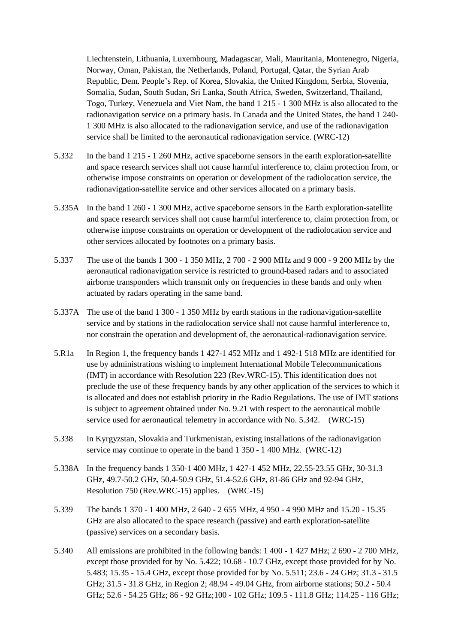Liechtenstein, Lithuania, Luxembourg, Madagascar, Mali, Mauritania, Montenegro, Nigeria, Norway, Oman, Pakistan, the Netherlands, Poland, Portugal, Qatar, the Syrian Arab Republic, Dem. People's Rep. of Korea, Slovakia, the United Kingdom, Serbia, Slovenia, Somalia, Sudan, South Sudan, Sri Lanka, South Africa, Sweden, Switzerland, Thailand, Togo, Turkey, Venezuela and Viet Nam, the band 1 215 - 1 300 MHz is also allocated to the radionavigation service on a primary basis. In Canada and the United States, the band 1 240- 1 300 MHz is also allocated to the radionavigation service, and use of the radionavigation service shall be limited to the aeronautical radionavigation service. (WRC-12)

- 5.332 In the band 1 215 1 260 MHz, active spaceborne sensors in the earth exploration-satellite and space research services shall not cause harmful interference to, claim protection from, or otherwise impose constraints on operation or development of the radiolocation service, the radionavigation-satellite service and other services allocated on a primary basis.
- 5.335A In the band 1 260 1 300 MHz, active spaceborne sensors in the Earth exploration-satellite and space research services shall not cause harmful interference to, claim protection from, or otherwise impose constraints on operation or development of the radiolocation service and other services allocated by footnotes on a primary basis.
- 5.337 The use of the bands 1 300 1 350 MHz, 2 700 2 900 MHz and 9 000 9 200 MHz by the aeronautical radionavigation service is restricted to ground-based radars and to associated airborne transponders which transmit only on frequencies in these bands and only when actuated by radars operating in the same band.
- 5.337A The use of the band 1 300 1 350 MHz by earth stations in the radionavigation-satellite service and by stations in the radiolocation service shall not cause harmful interference to, nor constrain the operation and development of, the aeronautical-radionavigation service.
- 5.R1a In Region 1, the frequency bands 1 427-1 452 MHz and 1 492-1 518 MHz are identified for use by administrations wishing to implement International Mobile Telecommunications (IMT) in accordance with Resolution 223 (Rev.WRC-15). This identification does not preclude the use of these frequency bands by any other application of the services to which it is allocated and does not establish priority in the Radio Regulations. The use of IMT stations is subject to agreement obtained under No. 9.21 with respect to the aeronautical mobile service used for aeronautical telemetry in accordance with No. 5.342. (WRC-15)
- 5.338 In Kyrgyzstan, Slovakia and Turkmenistan, existing installations of the radionavigation service may continue to operate in the band 1 350 - 1 400 MHz. (WRC-12)
- 5.338A In the frequency bands 1 350-1 400 MHz, 1 427-1 452 MHz, 22.55-23.55 GHz, 30-31.3 GHz, 49.7-50.2 GHz, 50.4-50.9 GHz, 51.4-52.6 GHz, 81-86 GHz and 92-94 GHz, Resolution 750 (Rev.WRC-15) applies. (WRC-15)
- 5.339 The bands 1 370 1 400 MHz, 2 640 2 655 MHz, 4 950 4 990 MHz and 15.20 15.35 GHz are also allocated to the space research (passive) and earth exploration-satellite (passive) services on a secondary basis.
- 5.340 All emissions are prohibited in the following bands: 1 400 1 427 MHz; 2 690 2 700 MHz, except those provided for by No. 5.422; 10.68 - 10.7 GHz, except those provided for by No. 5.483; 15.35 - 15.4 GHz, except those provided for by No. 5.511; 23.6 - 24 GHz; 31.3 - 31.5 GHz; 31.5 - 31.8 GHz, in Region 2; 48.94 - 49.04 GHz, from airborne stations; 50.2 - 50.4 GHz; 52.6 - 54.25 GHz; 86 - 92 GHz;100 - 102 GHz; 109.5 - 111.8 GHz; 114.25 - 116 GHz;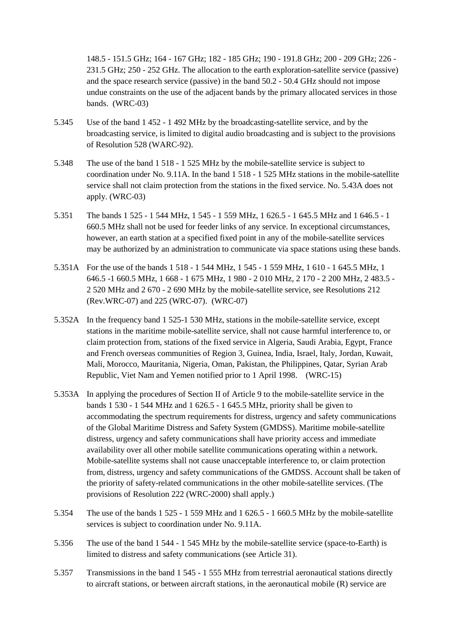148.5 - 151.5 GHz; 164 - 167 GHz; 182 - 185 GHz; 190 - 191.8 GHz; 200 - 209 GHz; 226 - 231.5 GHz; 250 - 252 GHz. The allocation to the earth exploration-satellite service (passive) and the space research service (passive) in the band 50.2 - 50.4 GHz should not impose undue constraints on the use of the adjacent bands by the primary allocated services in those bands. (WRC-03)

- 5.345 Use of the band 1 452 1 492 MHz by the broadcasting-satellite service, and by the broadcasting service, is limited to digital audio broadcasting and is subject to the provisions of Resolution 528 (WARC-92).
- 5.348 The use of the band 1 518 1 525 MHz by the mobile-satellite service is subject to coordination under No. 9.11A. In the band 1 518 - 1 525 MHz stations in the mobile-satellite service shall not claim protection from the stations in the fixed service. No. 5.43A does not apply. (WRC-03)
- 5.351 The bands 1 525 1 544 MHz, 1 545 1 559 MHz, 1 626.5 1 645.5 MHz and 1 646.5 1 660.5 MHz shall not be used for feeder links of any service. In exceptional circumstances, however, an earth station at a specified fixed point in any of the mobile-satellite services may be authorized by an administration to communicate via space stations using these bands.
- 5.351A For the use of the bands 1 518 1 544 MHz, 1 545 1 559 MHz, 1 610 1 645.5 MHz, 1 646.5 -1 660.5 MHz, 1 668 - 1 675 MHz, 1 980 - 2 010 MHz, 2 170 - 2 200 MHz, 2 483.5 - 2 520 MHz and 2 670 - 2 690 MHz by the mobile-satellite service, see Resolutions 212 (Rev.WRC-07) and 225 (WRC-07). (WRC-07)
- 5.352A In the frequency band 1 525-1 530 MHz, stations in the mobile-satellite service, except stations in the maritime mobile-satellite service, shall not cause harmful interference to, or claim protection from, stations of the fixed service in Algeria, Saudi Arabia, Egypt, France and French overseas communities of Region 3, Guinea, India, Israel, Italy, Jordan, Kuwait, Mali, Morocco, Mauritania, Nigeria, Oman, Pakistan, the Philippines, Qatar, Syrian Arab Republic, Viet Nam and Yemen notified prior to 1 April 1998. (WRC-15)
- 5.353A In applying the procedures of Section II of Article 9 to the mobile-satellite service in the bands 1 530 - 1 544 MHz and 1 626.5 - 1 645.5 MHz, priority shall be given to accommodating the spectrum requirements for distress, urgency and safety communications of the Global Maritime Distress and Safety System (GMDSS). Maritime mobile-satellite distress, urgency and safety communications shall have priority access and immediate availability over all other mobile satellite communications operating within a network. Mobile-satellite systems shall not cause unacceptable interference to, or claim protection from, distress, urgency and safety communications of the GMDSS. Account shall be taken of the priority of safety-related communications in the other mobile-satellite services. (The provisions of Resolution 222 (WRC-2000) shall apply.)
- 5.354 The use of the bands 1 525 1 559 MHz and 1 626.5 1 660.5 MHz by the mobile-satellite services is subject to coordination under No. 9.11A.
- 5.356 The use of the band 1 544 1 545 MHz by the mobile-satellite service (space-to-Earth) is limited to distress and safety communications (see Article 31).
- 5.357 Transmissions in the band 1 545 1 555 MHz from terrestrial aeronautical stations directly to aircraft stations, or between aircraft stations, in the aeronautical mobile (R) service are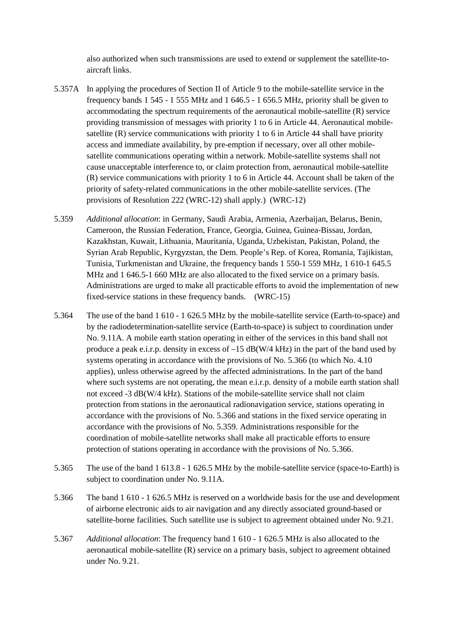also authorized when such transmissions are used to extend or supplement the satellite-toaircraft links.

- 5.357A In applying the procedures of Section II of Article 9 to the mobile-satellite service in the frequency bands 1 545 - 1 555 MHz and 1 646.5 - 1 656.5 MHz, priority shall be given to accommodating the spectrum requirements of the aeronautical mobile-satellite (R) service providing transmission of messages with priority 1 to 6 in Article 44. Aeronautical mobilesatellite (R) service communications with priority 1 to 6 in Article 44 shall have priority access and immediate availability, by pre-emption if necessary, over all other mobilesatellite communications operating within a network. Mobile-satellite systems shall not cause unacceptable interference to, or claim protection from, aeronautical mobile-satellite (R) service communications with priority 1 to 6 in Article 44. Account shall be taken of the priority of safety-related communications in the other mobile-satellite services. (The provisions of Resolution 222 (WRC-12) shall apply.) (WRC-12)
- 5.359 *Additional allocation*: in Germany, Saudi Arabia, Armenia, Azerbaijan, Belarus, Benin, Cameroon, the Russian Federation, France, Georgia, Guinea, Guinea-Bissau, Jordan, Kazakhstan, Kuwait, Lithuania, Mauritania, Uganda, Uzbekistan, Pakistan, Poland, the Syrian Arab Republic, Kyrgyzstan, the Dem. People's Rep. of Korea, Romania, Tajikistan, Tunisia, Turkmenistan and Ukraine, the frequency bands 1 550-1 559 MHz, 1 610-1 645.5 MHz and 1 646.5-1 660 MHz are also allocated to the fixed service on a primary basis. Administrations are urged to make all practicable efforts to avoid the implementation of new fixed-service stations in these frequency bands. (WRC-15)
- 5.364 The use of the band 1 610 1 626.5 MHz by the mobile-satellite service (Earth-to-space) and by the radiodetermination-satellite service (Earth-to-space) is subject to coordination under No. 9.11A. A mobile earth station operating in either of the services in this band shall not produce a peak e.i.r.p. density in excess of –15 dB(W/4 kHz) in the part of the band used by systems operating in accordance with the provisions of No. 5.366 (to which No. 4.10 applies), unless otherwise agreed by the affected administrations. In the part of the band where such systems are not operating, the mean e.i.r.p. density of a mobile earth station shall not exceed -3 dB(W/4 kHz). Stations of the mobile-satellite service shall not claim protection from stations in the aeronautical radionavigation service, stations operating in accordance with the provisions of No. 5.366 and stations in the fixed service operating in accordance with the provisions of No. 5.359. Administrations responsible for the coordination of mobile-satellite networks shall make all practicable efforts to ensure protection of stations operating in accordance with the provisions of No. 5.366.
- 5.365 The use of the band 1 613.8 1 626.5 MHz by the mobile-satellite service (space-to-Earth) is subject to coordination under No. 9.11A.
- 5.366 The band 1 610 1 626.5 MHz is reserved on a worldwide basis for the use and development of airborne electronic aids to air navigation and any directly associated ground-based or satellite-borne facilities. Such satellite use is subject to agreement obtained under No. 9.21.
- 5.367 *Additional allocation*: The frequency band 1 610 1 626.5 MHz is also allocated to the aeronautical mobile-satellite (R) service on a primary basis, subject to agreement obtained under No. 9.21.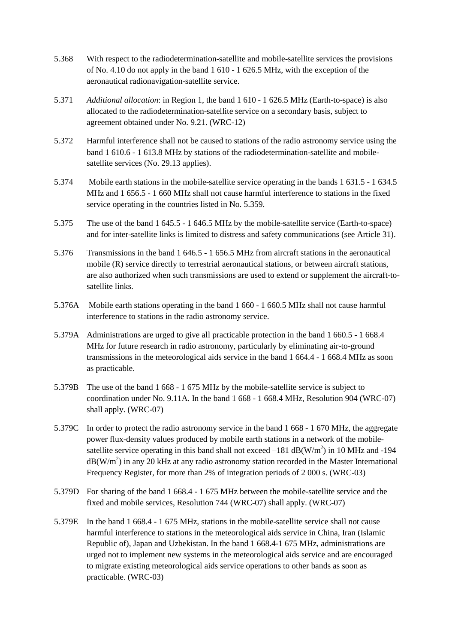- 5.368 With respect to the radiodetermination-satellite and mobile-satellite services the provisions of No. 4.10 do not apply in the band 1 610 - 1 626.5 MHz, with the exception of the aeronautical radionavigation-satellite service.
- 5.371 *Additional allocation*: in Region 1, the band 1 610 1 626.5 MHz (Earth-to-space) is also allocated to the radiodetermination-satellite service on a secondary basis, subject to agreement obtained under No. 9.21. (WRC-12)
- 5.372 Harmful interference shall not be caused to stations of the radio astronomy service using the band 1 610.6 - 1 613.8 MHz by stations of the radiodetermination-satellite and mobilesatellite services (No. 29.13 applies).
- 5.374 Mobile earth stations in the mobile-satellite service operating in the bands 1 631.5 1 634.5 MHz and 1 656.5 - 1 660 MHz shall not cause harmful interference to stations in the fixed service operating in the countries listed in No. 5.359.
- 5.375 The use of the band 1 645.5 1 646.5 MHz by the mobile-satellite service (Earth-to-space) and for inter-satellite links is limited to distress and safety communications (see Article 31).
- 5.376 Transmissions in the band 1 646.5 1 656.5 MHz from aircraft stations in the aeronautical mobile (R) service directly to terrestrial aeronautical stations, or between aircraft stations, are also authorized when such transmissions are used to extend or supplement the aircraft-tosatellite links.
- 5.376A Mobile earth stations operating in the band 1 660 1 660.5 MHz shall not cause harmful interference to stations in the radio astronomy service.
- 5.379A Administrations are urged to give all practicable protection in the band 1 660.5 1 668.4 MHz for future research in radio astronomy, particularly by eliminating air-to-ground transmissions in the meteorological aids service in the band 1 664.4 - 1 668.4 MHz as soon as practicable.
- 5.379B The use of the band 1 668 1 675 MHz by the mobile-satellite service is subject to coordination under No. 9.11A. In the band 1 668 - 1 668.4 MHz, Resolution 904 (WRC-07) shall apply. (WRC-07)
- 5.379C In order to protect the radio astronomy service in the band 1 668 1 670 MHz, the aggregate power flux-density values produced by mobile earth stations in a network of the mobilesatellite service operating in this band shall not exceed  $-181$  dB(W/m<sup>2</sup>) in 10 MHz and -194  $dB(W/m<sup>2</sup>)$  in any 20 kHz at any radio astronomy station recorded in the Master International Frequency Register, for more than 2% of integration periods of 2 000 s. (WRC-03)
- 5.379D For sharing of the band 1 668.4 1 675 MHz between the mobile-satellite service and the fixed and mobile services, Resolution 744 (WRC-07) shall apply. (WRC-07)
- 5.379E In the band 1 668.4 1 675 MHz, stations in the mobile-satellite service shall not cause harmful interference to stations in the meteorological aids service in China, Iran (Islamic Republic of), Japan and Uzbekistan. In the band 1 668.4-1 675 MHz, administrations are urged not to implement new systems in the meteorological aids service and are encouraged to migrate existing meteorological aids service operations to other bands as soon as practicable. (WRC-03)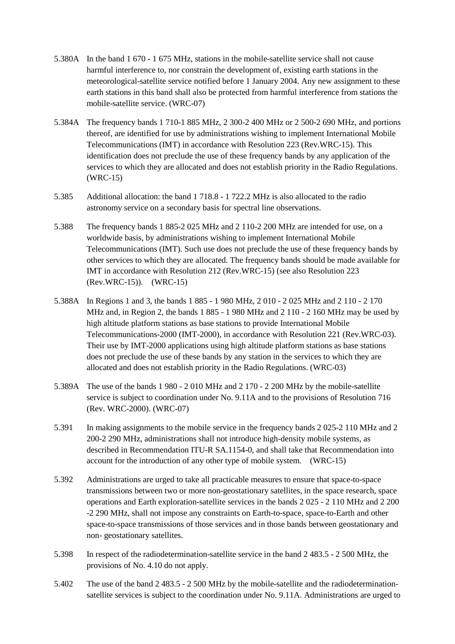- 5.380A In the band 1 670 1 675 MHz, stations in the mobile-satellite service shall not cause harmful interference to, nor constrain the development of, existing earth stations in the meteorological-satellite service notified before 1 January 2004. Any new assignment to these earth stations in this band shall also be protected from harmful interference from stations the mobile-satellite service. (WRC-07)
- 5.384A The frequency bands 1 710-1 885 MHz, 2 300-2 400 MHz or 2 500-2 690 MHz, and portions thereof, are identified for use by administrations wishing to implement International Mobile Telecommunications (IMT) in accordance with Resolution 223 (Rev.WRC-15). This identification does not preclude the use of these frequency bands by any application of the services to which they are allocated and does not establish priority in the Radio Regulations. (WRC-15)
- 5.385 Additional allocation: the band 1 718.8 1 722.2 MHz is also allocated to the radio astronomy service on a secondary basis for spectral line observations.
- 5.388 The frequency bands 1 885-2 025 MHz and 2 110-2 200 MHz are intended for use, on a worldwide basis, by administrations wishing to implement International Mobile Telecommunications (IMT). Such use does not preclude the use of these frequency bands by other services to which they are allocated. The frequency bands should be made available for IMT in accordance with Resolution 212 (Rev.WRC-15) (see also Resolution 223 (Rev.WRC-15)). (WRC-15)
- 5.388A In Regions 1 and 3, the bands 1 885 1 980 MHz, 2 010 2 025 MHz and 2 110 2 170 MHz and, in Region 2, the bands 1 885 - 1 980 MHz and 2 110 - 2 160 MHz may be used by high altitude platform stations as base stations to provide International Mobile Telecommunications-2000 (IMT-2000), in accordance with Resolution 221 (Rev.WRC-03). Their use by IMT-2000 applications using high altitude platform stations as base stations does not preclude the use of these bands by any station in the services to which they are allocated and does not establish priority in the Radio Regulations. (WRC-03)
- 5.389A The use of the bands 1 980 2 010 MHz and 2 170 2 200 MHz by the mobile-satellite service is subject to coordination under No. 9.11A and to the provisions of Resolution 716 (Rev. WRC-2000). (WRC-07)
- 5.391 In making assignments to the mobile service in the frequency bands 2 025-2 110 MHz and 2 200-2 290 MHz, administrations shall not introduce high-density mobile systems, as described in Recommendation ITU-R SA.1154-0, and shall take that Recommendation into account for the introduction of any other type of mobile system. (WRC-15)
- 5.392 Administrations are urged to take all practicable measures to ensure that space-to-space transmissions between two or more non-geostationary satellites, in the space research, space operations and Earth exploration-satellite services in the bands 2 025 - 2 110 MHz and 2 200 -2 290 MHz, shall not impose any constraints on Earth-to-space, space-to-Earth and other space-to-space transmissions of those services and in those bands between geostationary and non- geostationary satellites.
- 5.398 In respect of the radiodetermination-satellite service in the band 2 483.5 2 500 MHz, the provisions of No. 4.10 do not apply.
- 5.402 The use of the band 2 483.5 2 500 MHz by the mobile-satellite and the radiodeterminationsatellite services is subject to the coordination under No. 9.11A. Administrations are urged to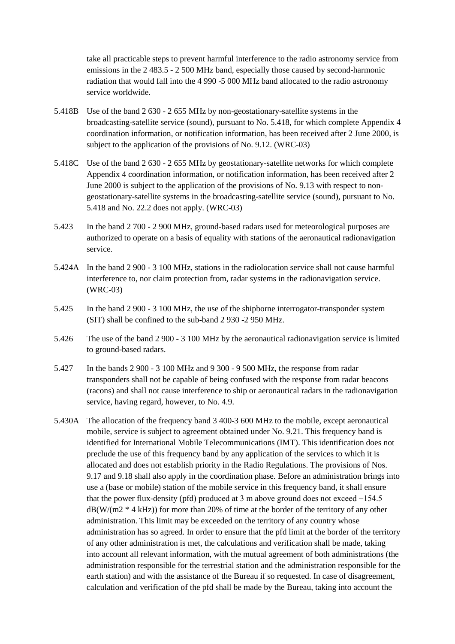take all practicable steps to prevent harmful interference to the radio astronomy service from emissions in the 2 483.5 - 2 500 MHz band, especially those caused by second-harmonic radiation that would fall into the 4 990 -5 000 MHz band allocated to the radio astronomy service worldwide.

- 5.418B Use of the band 2 630 2 655 MHz by non-geostationary-satellite systems in the broadcasting-satellite service (sound), pursuant to No. 5.418, for which complete Appendix 4 coordination information, or notification information, has been received after 2 June 2000, is subject to the application of the provisions of No. 9.12. (WRC-03)
- 5.418C Use of the band 2 630 2 655 MHz by geostationary-satellite networks for which complete Appendix 4 coordination information, or notification information, has been received after 2 June 2000 is subject to the application of the provisions of No. 9.13 with respect to nongeostationary-satellite systems in the broadcasting-satellite service (sound), pursuant to No. 5.418 and No. 22.2 does not apply. (WRC-03)
- 5.423 In the band 2 700 2 900 MHz, ground-based radars used for meteorological purposes are authorized to operate on a basis of equality with stations of the aeronautical radionavigation service.
- 5.424A In the band 2 900 3 100 MHz, stations in the radiolocation service shall not cause harmful interference to, nor claim protection from, radar systems in the radionavigation service. (WRC-03)
- 5.425 In the band 2 900 3 100 MHz, the use of the shipborne interrogator-transponder system (SIT) shall be confined to the sub-band 2 930 -2 950 MHz.
- 5.426 The use of the band 2 900 3 100 MHz by the aeronautical radionavigation service is limited to ground-based radars.
- 5.427 In the bands 2 900 3 100 MHz and 9 300 9 500 MHz, the response from radar transponders shall not be capable of being confused with the response from radar beacons (racons) and shall not cause interference to ship or aeronautical radars in the radionavigation service, having regard, however, to No. 4.9.
- 5.430A The allocation of the frequency band 3 400-3 600 MHz to the mobile, except aeronautical mobile, service is subject to agreement obtained under No. 9.21. This frequency band is identified for International Mobile Telecommunications (IMT). This identification does not preclude the use of this frequency band by any application of the services to which it is allocated and does not establish priority in the Radio Regulations. The provisions of Nos. 9.17 and 9.18 shall also apply in the coordination phase. Before an administration brings into use a (base or mobile) station of the mobile service in this frequency band, it shall ensure that the power flux-density (pfd) produced at 3 m above ground does not exceed −154.5  $dB(W/(m2 * 4 kHz))$  for more than 20% of time at the border of the territory of any other administration. This limit may be exceeded on the territory of any country whose administration has so agreed. In order to ensure that the pfd limit at the border of the territory of any other administration is met, the calculations and verification shall be made, taking into account all relevant information, with the mutual agreement of both administrations (the administration responsible for the terrestrial station and the administration responsible for the earth station) and with the assistance of the Bureau if so requested. In case of disagreement, calculation and verification of the pfd shall be made by the Bureau, taking into account the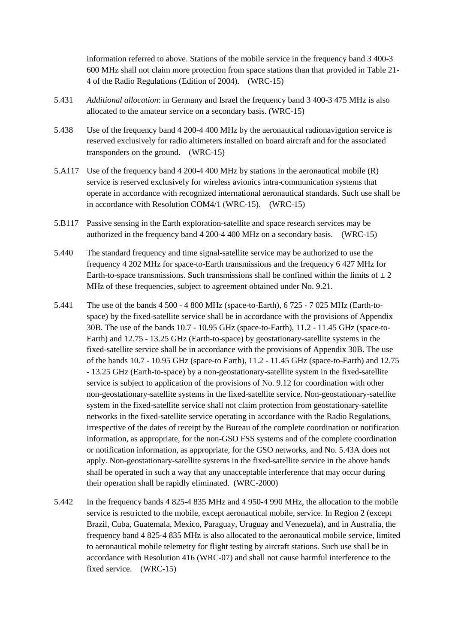information referred to above. Stations of the mobile service in the frequency band 3 400-3 600 MHz shall not claim more protection from space stations than that provided in Table 21- 4 of the Radio Regulations (Edition of 2004). (WRC-15)

- 5.431 *Additional allocation*: in Germany and Israel the frequency band 3 400-3 475 MHz is also allocated to the amateur service on a secondary basis. (WRC-15)
- 5.438 Use of the frequency band 4 200-4 400 MHz by the aeronautical radionavigation service is reserved exclusively for radio altimeters installed on board aircraft and for the associated transponders on the ground. (WRC-15)
- 5.A117 Use of the frequency band 4 200-4 400 MHz by stations in the aeronautical mobile (R) service is reserved exclusively for wireless avionics intra-communication systems that operate in accordance with recognized international aeronautical standards. Such use shall be in accordance with Resolution COM4/1 (WRC-15). (WRC-15)
- 5.B117 Passive sensing in the Earth exploration-satellite and space research services may be authorized in the frequency band 4 200-4 400 MHz on a secondary basis. (WRC-15)
- 5.440 The standard frequency and time signal-satellite service may be authorized to use the frequency 4 202 MHz for space-to-Earth transmissions and the frequency 6 427 MHz for Earth-to-space transmissions. Such transmissions shall be confined within the limits of  $\pm 2$ MHz of these frequencies, subject to agreement obtained under No. 9.21.
- 5.441 The use of the bands 4 500 4 800 MHz (space-to-Earth), 6 725 7 025 MHz (Earth-tospace) by the fixed-satellite service shall be in accordance with the provisions of Appendix 30B. The use of the bands 10.7 - 10.95 GHz (space-to-Earth), 11.2 - 11.45 GHz (space-to-Earth) and 12.75 - 13.25 GHz (Earth-to-space) by geostationary-satellite systems in the fixed-satellite service shall be in accordance with the provisions of Appendix 30B. The use of the bands 10.7 - 10.95 GHz (space-to Earth), 11.2 - 11.45 GHz (space-to-Earth) and 12.75 - 13.25 GHz (Earth-to-space) by a non-geostationary-satellite system in the fixed-satellite service is subject to application of the provisions of No. 9.12 for coordination with other non-geostationary-satellite systems in the fixed-satellite service. Non-geostationary-satellite system in the fixed-satellite service shall not claim protection from geostationary-satellite networks in the fixed-satellite service operating in accordance with the Radio Regulations, irrespective of the dates of receipt by the Bureau of the complete coordination or notification information, as appropriate, for the non-GSO FSS systems and of the complete coordination or notification information, as appropriate, for the GSO networks, and No. 5.43A does not apply. Non-geostationary-satellite systems in the fixed-satellite service in the above bands shall be operated in such a way that any unacceptable interference that may occur during their operation shall be rapidly eliminated. (WRC-2000)
- 5.442 In the frequency bands 4 825-4 835 MHz and 4 950-4 990 MHz, the allocation to the mobile service is restricted to the mobile, except aeronautical mobile, service. In Region 2 (except Brazil, Cuba, Guatemala, Mexico, Paraguay, Uruguay and Venezuela), and in Australia, the frequency band 4 825-4 835 MHz is also allocated to the aeronautical mobile service, limited to aeronautical mobile telemetry for flight testing by aircraft stations. Such use shall be in accordance with Resolution 416 (WRC-07) and shall not cause harmful interference to the fixed service. (WRC-15)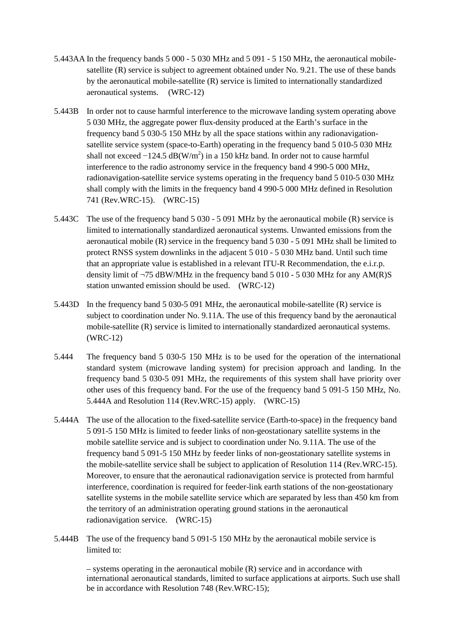- 5.443AA In the frequency bands 5 000 5 030 MHz and 5 091 5 150 MHz, the aeronautical mobilesatellite (R) service is subject to agreement obtained under No. 9.21. The use of these bands by the aeronautical mobile-satellite (R) service is limited to internationally standardized aeronautical systems. (WRC-12)
- 5.443B In order not to cause harmful interference to the microwave landing system operating above 5 030 MHz, the aggregate power flux-density produced at the Earth's surface in the frequency band 5 030-5 150 MHz by all the space stations within any radionavigationsatellite service system (space-to-Earth) operating in the frequency band 5 010-5 030 MHz shall not exceed  $-124.5 \text{ dB(W/m}^2)$  in a 150 kHz band. In order not to cause harmful interference to the radio astronomy service in the frequency band 4 990-5 000 MHz, radionavigation-satellite service systems operating in the frequency band 5 010-5 030 MHz shall comply with the limits in the frequency band 4 990-5 000 MHz defined in Resolution 741 (Rev.WRC-15). (WRC-15)
- 5.443C The use of the frequency band 5 030 5 091 MHz by the aeronautical mobile (R) service is limited to internationally standardized aeronautical systems. Unwanted emissions from the aeronautical mobile (R) service in the frequency band 5 030 - 5 091 MHz shall be limited to protect RNSS system downlinks in the adjacent 5 010 - 5 030 MHz band. Until such time that an appropriate value is established in a relevant ITU-R Recommendation, the e.i.r.p. density limit of  $\neg$ 75 dBW/MHz in the frequency band 5 010 - 5 030 MHz for any AM(R)S station unwanted emission should be used. (WRC-12)
- 5.443D In the frequency band 5 030-5 091 MHz, the aeronautical mobile-satellite (R) service is subject to coordination under No. 9.11A. The use of this frequency band by the aeronautical mobile-satellite (R) service is limited to internationally standardized aeronautical systems. (WRC-12)
- 5.444 The frequency band 5 030-5 150 MHz is to be used for the operation of the international standard system (microwave landing system) for precision approach and landing. In the frequency band 5 030-5 091 MHz, the requirements of this system shall have priority over other uses of this frequency band. For the use of the frequency band 5 091-5 150 MHz, No. 5.444A and Resolution 114 (Rev.WRC-15) apply. (WRC-15)
- 5.444A The use of the allocation to the fixed-satellite service (Earth-to-space) in the frequency band 5 091-5 150 MHz is limited to feeder links of non-geostationary satellite systems in the mobile satellite service and is subject to coordination under No. 9.11A. The use of the frequency band 5 091-5 150 MHz by feeder links of non-geostationary satellite systems in the mobile-satellite service shall be subject to application of Resolution 114 (Rev.WRC-15). Moreover, to ensure that the aeronautical radionavigation service is protected from harmful interference, coordination is required for feeder-link earth stations of the non-geostationary satellite systems in the mobile satellite service which are separated by less than 450 km from the territory of an administration operating ground stations in the aeronautical radionavigation service. (WRC-15)
- 5.444B The use of the frequency band 5 091-5 150 MHz by the aeronautical mobile service is limited to:

– systems operating in the aeronautical mobile (R) service and in accordance with international aeronautical standards, limited to surface applications at airports. Such use shall be in accordance with Resolution 748 (Rev.WRC-15);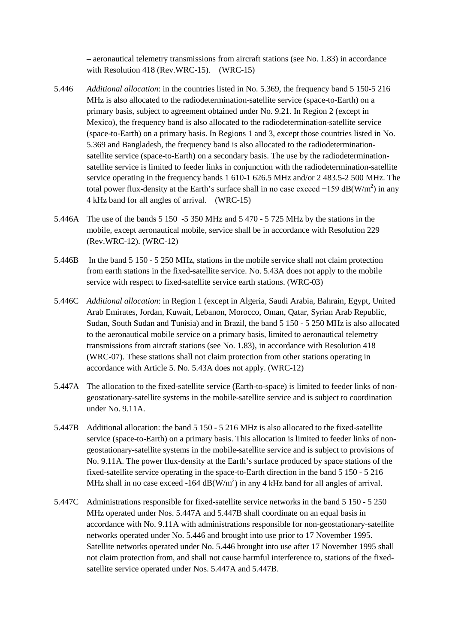– aeronautical telemetry transmissions from aircraft stations (see No. 1.83) in accordance with Resolution 418 (Rev.WRC-15). (WRC-15)

- 5.446 *Additional allocation*: in the countries listed in No. 5.369, the frequency band 5 150-5 216 MHz is also allocated to the radiodetermination-satellite service (space-to-Earth) on a primary basis, subject to agreement obtained under No. 9.21. In Region 2 (except in Mexico), the frequency band is also allocated to the radiodetermination-satellite service (space-to-Earth) on a primary basis. In Regions 1 and 3, except those countries listed in No. 5.369 and Bangladesh, the frequency band is also allocated to the radiodeterminationsatellite service (space-to-Earth) on a secondary basis. The use by the radiodeterminationsatellite service is limited to feeder links in conjunction with the radiodetermination-satellite service operating in the frequency bands 1 610-1 626.5 MHz and/or 2 483.5-2 500 MHz. The total power flux-density at the Earth's surface shall in no case exceed  $-159$  dB(W/m<sup>2</sup>) in any 4 kHz band for all angles of arrival. (WRC-15)
- 5.446A The use of the bands 5 150 -5 350 MHz and 5 470 5 725 MHz by the stations in the mobile, except aeronautical mobile, service shall be in accordance with Resolution 229 (Rev.WRC-12). (WRC-12)
- 5.446B In the band 5 150 5 250 MHz, stations in the mobile service shall not claim protection from earth stations in the fixed-satellite service. No. 5.43A does not apply to the mobile service with respect to fixed-satellite service earth stations. (WRC-03)
- 5.446C *Additional allocation*: in Region 1 (except in Algeria, Saudi Arabia, Bahrain, Egypt, United Arab Emirates, Jordan, Kuwait, Lebanon, Morocco, Oman, Qatar, Syrian Arab Republic, Sudan, South Sudan and Tunisia) and in Brazil, the band 5 150 - 5 250 MHz is also allocated to the aeronautical mobile service on a primary basis, limited to aeronautical telemetry transmissions from aircraft stations (see No. 1.83), in accordance with Resolution 418 (WRC-07). These stations shall not claim protection from other stations operating in accordance with Article 5. No. 5.43A does not apply. (WRC-12)
- 5.447A The allocation to the fixed-satellite service (Earth-to-space) is limited to feeder links of nongeostationary-satellite systems in the mobile-satellite service and is subject to coordination under No. 9.11A.
- 5.447B Additional allocation: the band 5 150 5 216 MHz is also allocated to the fixed-satellite service (space-to-Earth) on a primary basis. This allocation is limited to feeder links of nongeostationary-satellite systems in the mobile-satellite service and is subject to provisions of No. 9.11A. The power flux-density at the Earth's surface produced by space stations of the fixed-satellite service operating in the space-to-Earth direction in the band 5 150 - 5 216 MHz shall in no case exceed -164  $dB(W/m^2)$  in any 4 kHz band for all angles of arrival.
- 5.447C Administrations responsible for fixed-satellite service networks in the band 5 150 5 250 MHz operated under Nos. 5.447A and 5.447B shall coordinate on an equal basis in accordance with No. 9.11A with administrations responsible for non-geostationary-satellite networks operated under No. 5.446 and brought into use prior to 17 November 1995. Satellite networks operated under No. 5.446 brought into use after 17 November 1995 shall not claim protection from, and shall not cause harmful interference to, stations of the fixedsatellite service operated under Nos. 5.447A and 5.447B.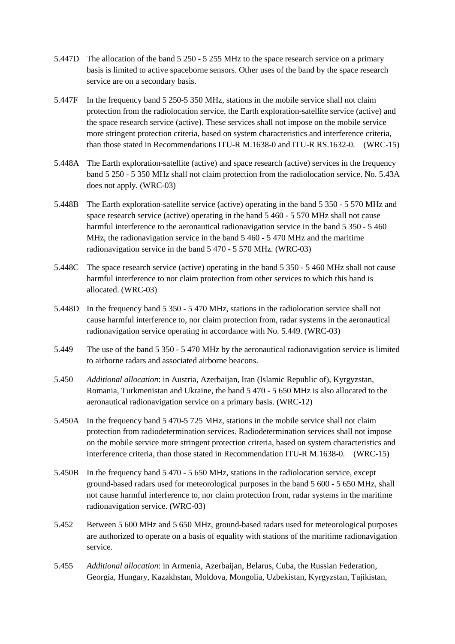- 5.447D The allocation of the band 5 250 5 255 MHz to the space research service on a primary basis is limited to active spaceborne sensors. Other uses of the band by the space research service are on a secondary basis.
- 5.447F In the frequency band 5 250-5 350 MHz, stations in the mobile service shall not claim protection from the radiolocation service, the Earth exploration-satellite service (active) and the space research service (active). These services shall not impose on the mobile service more stringent protection criteria, based on system characteristics and interference criteria, than those stated in Recommendations ITU-R M.1638-0 and ITU-R RS.1632-0. (WRC-15)
- 5.448A The Earth exploration-satellite (active) and space research (active) services in the frequency band 5 250 - 5 350 MHz shall not claim protection from the radiolocation service. No. 5.43A does not apply. (WRC-03)
- 5.448B The Earth exploration-satellite service (active) operating in the band 5 350 5 570 MHz and space research service (active) operating in the band 5 460 - 5 570 MHz shall not cause harmful interference to the aeronautical radionavigation service in the band 5 350 - 5 460 MHz, the radionavigation service in the band 5 460 - 5 470 MHz and the maritime radionavigation service in the band 5 470 - 5 570 MHz. (WRC-03)
- 5.448C The space research service (active) operating in the band 5 350 5 460 MHz shall not cause harmful interference to nor claim protection from other services to which this band is allocated. (WRC-03)
- 5.448D In the frequency band 5 350 5 470 MHz, stations in the radiolocation service shall not cause harmful interference to, nor claim protection from, radar systems in the aeronautical radionavigation service operating in accordance with No. 5.449. (WRC-03)
- 5.449 The use of the band 5 350 5 470 MHz by the aeronautical radionavigation service is limited to airborne radars and associated airborne beacons.
- 5.450 *Additional allocation*: in Austria, Azerbaijan, Iran (Islamic Republic of), Kyrgyzstan, Romania, Turkmenistan and Ukraine, the band 5 470 - 5 650 MHz is also allocated to the aeronautical radionavigation service on a primary basis. (WRC-12)
- 5.450A In the frequency band 5 470-5 725 MHz, stations in the mobile service shall not claim protection from radiodetermination services. Radiodetermination services shall not impose on the mobile service more stringent protection criteria, based on system characteristics and interference criteria, than those stated in Recommendation ITU-R M.1638-0. (WRC-15)
- 5.450B In the frequency band 5 470 5 650 MHz, stations in the radiolocation service, except ground-based radars used for meteorological purposes in the band 5 600 - 5 650 MHz, shall not cause harmful interference to, nor claim protection from, radar systems in the maritime radionavigation service. (WRC-03)
- 5.452 Between 5 600 MHz and 5 650 MHz, ground-based radars used for meteorological purposes are authorized to operate on a basis of equality with stations of the maritime radionavigation service.
- 5.455 *Additional allocation*: in Armenia, Azerbaijan, Belarus, Cuba, the Russian Federation, Georgia, Hungary, Kazakhstan, Moldova, Mongolia, Uzbekistan, Kyrgyzstan, Tajikistan,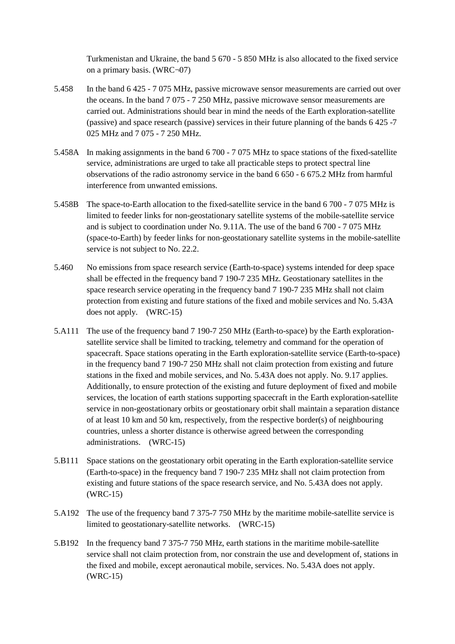Turkmenistan and Ukraine, the band 5 670 - 5 850 MHz is also allocated to the fixed service on a primary basis. (WRC¬07)

- 5.458 In the band 6 425 7 075 MHz, passive microwave sensor measurements are carried out over the oceans. In the band 7 075 - 7 250 MHz, passive microwave sensor measurements are carried out. Administrations should bear in mind the needs of the Earth exploration-satellite (passive) and space research (passive) services in their future planning of the bands 6 425 -7 025 MHz and 7 075 - 7 250 MHz.
- 5.458A In making assignments in the band 6 700 7 075 MHz to space stations of the fixed-satellite service, administrations are urged to take all practicable steps to protect spectral line observations of the radio astronomy service in the band 6 650 - 6 675.2 MHz from harmful interference from unwanted emissions.
- 5.458B The space-to-Earth allocation to the fixed-satellite service in the band 6 700 7 075 MHz is limited to feeder links for non-geostationary satellite systems of the mobile-satellite service and is subject to coordination under No. 9.11A. The use of the band 6 700 - 7 075 MHz (space-to-Earth) by feeder links for non-geostationary satellite systems in the mobile-satellite service is not subject to No. 22.2.
- 5.460 No emissions from space research service (Earth-to-space) systems intended for deep space shall be effected in the frequency band 7 190-7 235 MHz. Geostationary satellites in the space research service operating in the frequency band 7 190-7 235 MHz shall not claim protection from existing and future stations of the fixed and mobile services and No. 5.43A does not apply. (WRC-15)
- 5.A111 The use of the frequency band 7 190-7 250 MHz (Earth-to-space) by the Earth explorationsatellite service shall be limited to tracking, telemetry and command for the operation of spacecraft. Space stations operating in the Earth exploration-satellite service (Earth-to-space) in the frequency band 7 190-7 250 MHz shall not claim protection from existing and future stations in the fixed and mobile services, and No. 5.43A does not apply. No. 9.17 applies. Additionally, to ensure protection of the existing and future deployment of fixed and mobile services, the location of earth stations supporting spacecraft in the Earth exploration-satellite service in non-geostationary orbits or geostationary orbit shall maintain a separation distance of at least 10 km and 50 km, respectively, from the respective border(s) of neighbouring countries, unless a shorter distance is otherwise agreed between the corresponding administrations. (WRC-15)
- 5.B111 Space stations on the geostationary orbit operating in the Earth exploration-satellite service (Earth-to-space) in the frequency band 7 190-7 235 MHz shall not claim protection from existing and future stations of the space research service, and No. 5.43A does not apply. (WRC-15)
- 5.A192 The use of the frequency band 7 375-7 750 MHz by the maritime mobile-satellite service is limited to geostationary-satellite networks. (WRC-15)
- 5.B192 In the frequency band 7 375-7 750 MHz, earth stations in the maritime mobile-satellite service shall not claim protection from, nor constrain the use and development of, stations in the fixed and mobile, except aeronautical mobile, services. No. 5.43A does not apply. (WRC-15)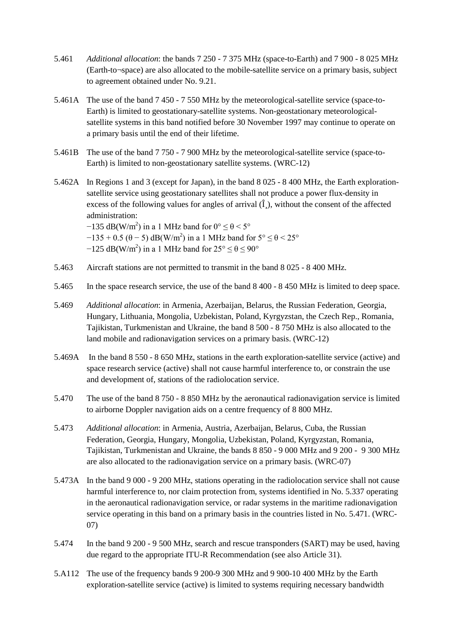- 5.461 *Additional allocation*: the bands 7 250 7 375 MHz (space-to-Earth) and 7 900 8 025 MHz (Earth-to¬space) are also allocated to the mobile-satellite service on a primary basis, subject to agreement obtained under No. 9.21.
- 5.461A The use of the band 7 450 7 550 MHz by the meteorological-satellite service (space-to-Earth) is limited to geostationary-satellite systems. Non-geostationary meteorologicalsatellite systems in this band notified before 30 November 1997 may continue to operate on a primary basis until the end of their lifetime.
- 5.461B The use of the band 7 750 7 900 MHz by the meteorological-satellite service (space-to-Earth) is limited to non-geostationary satellite systems. (WRC-12)
- 5.462A In Regions 1 and 3 (except for Japan), in the band 8 025 8 400 MHz, the Earth explorationsatellite service using geostationary satellites shall not produce a power flux-density in excess of the following values for angles of arrival  $(\hat{I})$ , without the consent of the affected administration:  $-135$  dB(W/m<sup>2</sup>) in a 1 MHz band for  $0^{\circ} \le \theta < 5^{\circ}$

 $-135 + 0.5$  ( $\theta - 5$ ) dB(W/m<sup>2</sup>) in a 1 MHz band for  $5^{\circ} \le \theta < 25^{\circ}$ 

- $-125$  dB(W/m<sup>2</sup>) in a 1 MHz band for  $25^{\circ} \le \theta \le 90^{\circ}$
- 5.463 Aircraft stations are not permitted to transmit in the band 8 025 8 400 MHz.
- 5.465 In the space research service, the use of the band 8 400 8 450 MHz is limited to deep space.
- 5.469 *Additional allocation*: in Armenia, Azerbaijan, Belarus, the Russian Federation, Georgia, Hungary, Lithuania, Mongolia, Uzbekistan, Poland, Kyrgyzstan, the Czech Rep., Romania, Tajikistan, Turkmenistan and Ukraine, the band 8 500 - 8 750 MHz is also allocated to the land mobile and radionavigation services on a primary basis. (WRC-12)
- 5.469A In the band 8 550 8 650 MHz, stations in the earth exploration-satellite service (active) and space research service (active) shall not cause harmful interference to, or constrain the use and development of, stations of the radiolocation service.
- 5.470 The use of the band 8 750 8 850 MHz by the aeronautical radionavigation service is limited to airborne Doppler navigation aids on a centre frequency of 8 800 MHz.
- 5.473 *Additional allocation*: in Armenia, Austria, Azerbaijan, Belarus, Cuba, the Russian Federation, Georgia, Hungary, Mongolia, Uzbekistan, Poland, Kyrgyzstan, Romania, Tajikistan, Turkmenistan and Ukraine, the bands 8 850 - 9 000 MHz and 9 200 - 9 300 MHz are also allocated to the radionavigation service on a primary basis. (WRC-07)
- 5.473A In the band 9 000 9 200 MHz, stations operating in the radiolocation service shall not cause harmful interference to, nor claim protection from, systems identified in No. 5.337 operating in the aeronautical radionavigation service, or radar systems in the maritime radionavigation service operating in this band on a primary basis in the countries listed in No. 5.471. (WRC-07)
- 5.474 In the band 9 200 9 500 MHz, search and rescue transponders (SART) may be used, having due regard to the appropriate ITU-R Recommendation (see also Article 31).
- 5.A112 The use of the frequency bands 9 200-9 300 MHz and 9 900-10 400 MHz by the Earth exploration-satellite service (active) is limited to systems requiring necessary bandwidth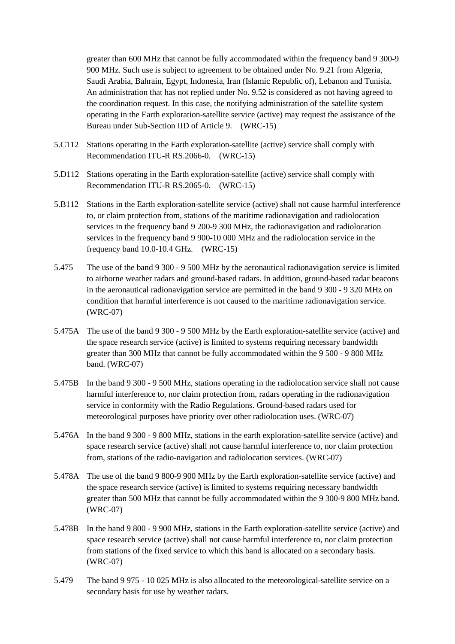greater than 600 MHz that cannot be fully accommodated within the frequency band 9 300-9 900 MHz. Such use is subject to agreement to be obtained under No. 9.21 from Algeria, Saudi Arabia, Bahrain, Egypt, Indonesia, Iran (Islamic Republic of), Lebanon and Tunisia. An administration that has not replied under No. 9.52 is considered as not having agreed to the coordination request. In this case, the notifying administration of the satellite system operating in the Earth exploration-satellite service (active) may request the assistance of the Bureau under Sub-Section IID of Article 9. (WRC-15)

- 5.C112 Stations operating in the Earth exploration-satellite (active) service shall comply with Recommendation ITU-R RS.2066-0. (WRC-15)
- 5.D112 Stations operating in the Earth exploration-satellite (active) service shall comply with Recommendation ITU-R RS.2065-0. (WRC-15)
- 5.B112 Stations in the Earth exploration-satellite service (active) shall not cause harmful interference to, or claim protection from, stations of the maritime radionavigation and radiolocation services in the frequency band 9 200-9 300 MHz, the radionavigation and radiolocation services in the frequency band 9 900-10 000 MHz and the radiolocation service in the frequency band 10.0-10.4 GHz. (WRC-15)
- 5.475 The use of the band 9 300 9 500 MHz by the aeronautical radionavigation service is limited to airborne weather radars and ground-based radars. In addition, ground-based radar beacons in the aeronautical radionavigation service are permitted in the band 9 300 - 9 320 MHz on condition that harmful interference is not caused to the maritime radionavigation service. (WRC-07)
- 5.475A The use of the band 9 300 9 500 MHz by the Earth exploration-satellite service (active) and the space research service (active) is limited to systems requiring necessary bandwidth greater than 300 MHz that cannot be fully accommodated within the 9 500 - 9 800 MHz band. (WRC-07)
- 5.475B In the band 9 300 9 500 MHz, stations operating in the radiolocation service shall not cause harmful interference to, nor claim protection from, radars operating in the radionavigation service in conformity with the Radio Regulations. Ground-based radars used for meteorological purposes have priority over other radiolocation uses. (WRC-07)
- 5.476A In the band 9 300 9 800 MHz, stations in the earth exploration-satellite service (active) and space research service (active) shall not cause harmful interference to, nor claim protection from, stations of the radio-navigation and radiolocation services. (WRC-07)
- 5.478A The use of the band 9 800-9 900 MHz by the Earth exploration-satellite service (active) and the space research service (active) is limited to systems requiring necessary bandwidth greater than 500 MHz that cannot be fully accommodated within the 9 300-9 800 MHz band. (WRC-07)
- 5.478B In the band 9 800 9 900 MHz, stations in the Earth exploration-satellite service (active) and space research service (active) shall not cause harmful interference to, nor claim protection from stations of the fixed service to which this band is allocated on a secondary basis. (WRC-07)
- 5.479 The band 9 975 10 025 MHz is also allocated to the meteorological-satellite service on a secondary basis for use by weather radars.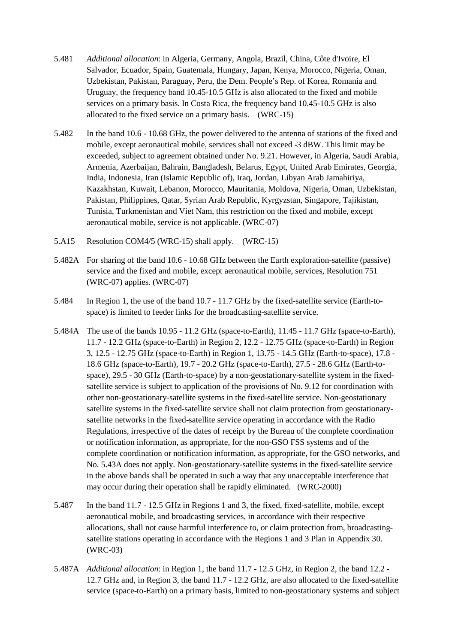- 5.481 *Additional allocation*: in Algeria, Germany, Angola, Brazil, China, Côte d'Ivoire, El Salvador, Ecuador, Spain, Guatemala, Hungary, Japan, Kenya, Morocco, Nigeria, Oman, Uzbekistan, Pakistan, Paraguay, Peru, the Dem. People's Rep. of Korea, Romania and Uruguay, the frequency band 10.45-10.5 GHz is also allocated to the fixed and mobile services on a primary basis. In Costa Rica, the frequency band 10.45-10.5 GHz is also allocated to the fixed service on a primary basis. (WRC-15)
- 5.482 In the band 10.6 10.68 GHz, the power delivered to the antenna of stations of the fixed and mobile, except aeronautical mobile, services shall not exceed -3 dBW. This limit may be exceeded, subject to agreement obtained under No. 9.21. However, in Algeria, Saudi Arabia, Armenia, Azerbaijan, Bahrain, Bangladesh, Belarus, Egypt, United Arab Emirates, Georgia, India, Indonesia, Iran (Islamic Republic of), Iraq, Jordan, Libyan Arab Jamahiriya, Kazakhstan, Kuwait, Lebanon, Morocco, Mauritania, Moldova, Nigeria, Oman, Uzbekistan, Pakistan, Philippines, Qatar, Syrian Arab Republic, Kyrgyzstan, Singapore, Tajikistan, Tunisia, Turkmenistan and Viet Nam, this restriction on the fixed and mobile, except aeronautical mobile, service is not applicable. (WRC-07)
- 5.A15 Resolution COM4/5 (WRC-15) shall apply. (WRC-15)
- 5.482A For sharing of the band 10.6 10.68 GHz between the Earth exploration-satellite (passive) service and the fixed and mobile, except aeronautical mobile, services, Resolution 751 (WRC-07) applies. (WRC-07)
- 5.484 In Region 1, the use of the band 10.7 11.7 GHz by the fixed-satellite service (Earth-tospace) is limited to feeder links for the broadcasting-satellite service.
- 5.484A The use of the bands 10.95 11.2 GHz (space-to-Earth), 11.45 11.7 GHz (space-to-Earth), 11.7 - 12.2 GHz (space-to-Earth) in Region 2, 12.2 - 12.75 GHz (space-to-Earth) in Region 3, 12.5 - 12.75 GHz (space-to-Earth) in Region 1, 13.75 - 14.5 GHz (Earth-to-space), 17.8 - 18.6 GHz (space-to-Earth), 19.7 - 20.2 GHz (space-to-Earth), 27.5 - 28.6 GHz (Earth-tospace), 29.5 - 30 GHz (Earth-to-space) by a non-geostationary-satellite system in the fixedsatellite service is subject to application of the provisions of No. 9.12 for coordination with other non-geostationary-satellite systems in the fixed-satellite service. Non-geostationary satellite systems in the fixed-satellite service shall not claim protection from geostationarysatellite networks in the fixed-satellite service operating in accordance with the Radio Regulations, irrespective of the dates of receipt by the Bureau of the complete coordination or notification information, as appropriate, for the non-GSO FSS systems and of the complete coordination or notification information, as appropriate, for the GSO networks, and No. 5.43A does not apply. Non-geostationary-satellite systems in the fixed-satellite service in the above bands shall be operated in such a way that any unacceptable interference that may occur during their operation shall be rapidly eliminated. (WRC-2000)
- 5.487 In the band 11.7 12.5 GHz in Regions 1 and 3, the fixed, fixed-satellite, mobile, except aeronautical mobile, and broadcasting services, in accordance with their respective allocations, shall not cause harmful interference to, or claim protection from, broadcastingsatellite stations operating in accordance with the Regions 1 and 3 Plan in Appendix 30. (WRC-03)
- 5.487A *Additional allocation*: in Region 1, the band 11.7 12.5 GHz, in Region 2, the band 12.2 12.7 GHz and, in Region 3, the band 11.7 - 12.2 GHz, are also allocated to the fixed-satellite service (space-to-Earth) on a primary basis, limited to non-geostationary systems and subject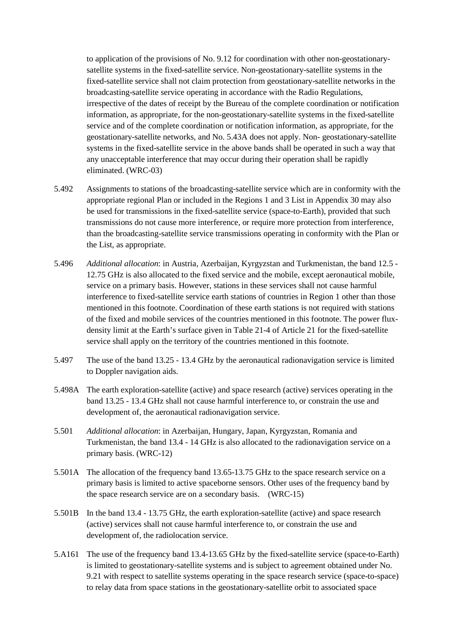to application of the provisions of No. 9.12 for coordination with other non-geostationarysatellite systems in the fixed-satellite service. Non-geostationary-satellite systems in the fixed-satellite service shall not claim protection from geostationary-satellite networks in the broadcasting-satellite service operating in accordance with the Radio Regulations, irrespective of the dates of receipt by the Bureau of the complete coordination or notification information, as appropriate, for the non-geostationary-satellite systems in the fixed-satellite service and of the complete coordination or notification information, as appropriate, for the geostationary-satellite networks, and No. 5.43A does not apply. Non- geostationary-satellite systems in the fixed-satellite service in the above bands shall be operated in such a way that any unacceptable interference that may occur during their operation shall be rapidly eliminated. (WRC-03)

- 5.492 Assignments to stations of the broadcasting-satellite service which are in conformity with the appropriate regional Plan or included in the Regions 1 and 3 List in Appendix 30 may also be used for transmissions in the fixed-satellite service (space-to-Earth), provided that such transmissions do not cause more interference, or require more protection from interference, than the broadcasting-satellite service transmissions operating in conformity with the Plan or the List, as appropriate.
- 5.496 *Additional allocation*: in Austria, Azerbaijan, Kyrgyzstan and Turkmenistan, the band 12.5 12.75 GHz is also allocated to the fixed service and the mobile, except aeronautical mobile, service on a primary basis. However, stations in these services shall not cause harmful interference to fixed-satellite service earth stations of countries in Region 1 other than those mentioned in this footnote. Coordination of these earth stations is not required with stations of the fixed and mobile services of the countries mentioned in this footnote. The power fluxdensity limit at the Earth's surface given in Table 21-4 of Article 21 for the fixed-satellite service shall apply on the territory of the countries mentioned in this footnote.
- 5.497 The use of the band 13.25 13.4 GHz by the aeronautical radionavigation service is limited to Doppler navigation aids.
- 5.498A The earth exploration-satellite (active) and space research (active) services operating in the band 13.25 - 13.4 GHz shall not cause harmful interference to, or constrain the use and development of, the aeronautical radionavigation service.
- 5.501 *Additional allocation*: in Azerbaijan, Hungary, Japan, Kyrgyzstan, Romania and Turkmenistan, the band 13.4 - 14 GHz is also allocated to the radionavigation service on a primary basis. (WRC-12)
- 5.501A The allocation of the frequency band 13.65-13.75 GHz to the space research service on a primary basis is limited to active spaceborne sensors. Other uses of the frequency band by the space research service are on a secondary basis. (WRC-15)
- 5.501B In the band 13.4 13.75 GHz, the earth exploration-satellite (active) and space research (active) services shall not cause harmful interference to, or constrain the use and development of, the radiolocation service.
- 5.A161 The use of the frequency band 13.4-13.65 GHz by the fixed-satellite service (space-to-Earth) is limited to geostationary-satellite systems and is subject to agreement obtained under No. 9.21 with respect to satellite systems operating in the space research service (space-to-space) to relay data from space stations in the geostationary-satellite orbit to associated space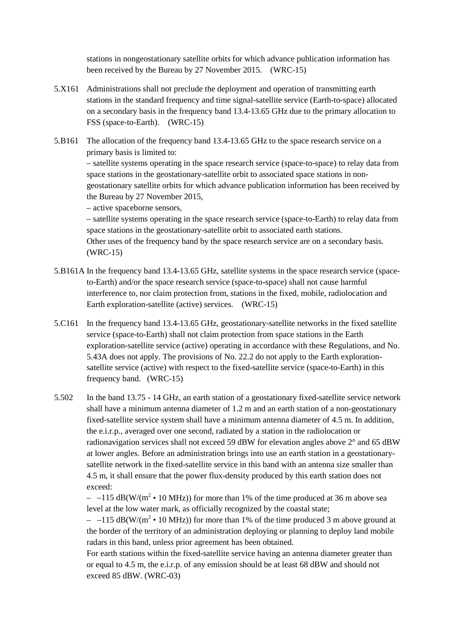stations in nongeostationary satellite orbits for which advance publication information has been received by the Bureau by 27 November 2015. (WRC-15)

- 5.X161 Administrations shall not preclude the deployment and operation of transmitting earth stations in the standard frequency and time signal-satellite service (Earth-to-space) allocated on a secondary basis in the frequency band 13.4-13.65 GHz due to the primary allocation to FSS (space-to-Earth). (WRC-15)
- 5.B161 The allocation of the frequency band 13.4-13.65 GHz to the space research service on a primary basis is limited to:

– satellite systems operating in the space research service (space-to-space) to relay data from space stations in the geostationary-satellite orbit to associated space stations in nongeostationary satellite orbits for which advance publication information has been received by the Bureau by 27 November 2015,

– active spaceborne sensors,

– satellite systems operating in the space research service (space-to-Earth) to relay data from space stations in the geostationary-satellite orbit to associated earth stations. Other uses of the frequency band by the space research service are on a secondary basis. (WRC-15)

- 5.B161A In the frequency band 13.4-13.65 GHz, satellite systems in the space research service (spaceto-Earth) and/or the space research service (space-to-space) shall not cause harmful interference to, nor claim protection from, stations in the fixed, mobile, radiolocation and Earth exploration-satellite (active) services. (WRC-15)
- 5.C161 In the frequency band 13.4-13.65 GHz, geostationary-satellite networks in the fixed satellite service (space-to-Earth) shall not claim protection from space stations in the Earth exploration-satellite service (active) operating in accordance with these Regulations, and No. 5.43A does not apply. The provisions of No. 22.2 do not apply to the Earth explorationsatellite service (active) with respect to the fixed-satellite service (space-to-Earth) in this frequency band. (WRC-15)
- 5.502 In the band 13.75 14 GHz, an earth station of a geostationary fixed-satellite service network shall have a minimum antenna diameter of 1.2 m and an earth station of a non-geostationary fixed-satellite service system shall have a minimum antenna diameter of 4.5 m. In addition, the e.i.r.p., averaged over one second, radiated by a station in the radiolocation or radionavigation services shall not exceed 59 dBW for elevation angles above  $2^{\circ}$  and 65 dBW at lower angles. Before an administration brings into use an earth station in a geostationarysatellite network in the fixed-satellite service in this band with an antenna size smaller than 4.5 m, it shall ensure that the power flux-density produced by this earth station does not exceed:

 $-115$  dB(W/(m<sup>2</sup> • 10 MHz)) for more than 1% of the time produced at 36 m above sea level at the low water mark, as officially recognized by the coastal state;

 $-$  -115 dB(W/(m<sup>2</sup> • 10 MHz)) for more than 1% of the time produced 3 m above ground at the border of the territory of an administration deploying or planning to deploy land mobile radars in this band, unless prior agreement has been obtained.

For earth stations within the fixed-satellite service having an antenna diameter greater than or equal to 4.5 m, the e.i.r.p. of any emission should be at least 68 dBW and should not exceed 85 dBW. (WRC-03)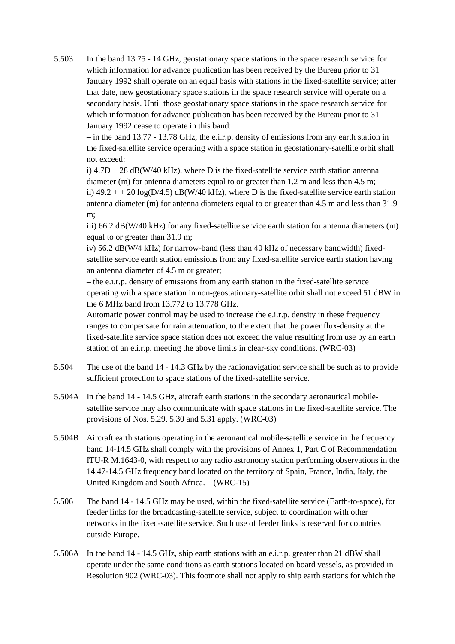5.503 In the band 13.75 - 14 GHz, geostationary space stations in the space research service for which information for advance publication has been received by the Bureau prior to 31 January 1992 shall operate on an equal basis with stations in the fixed-satellite service; after that date, new geostationary space stations in the space research service will operate on a secondary basis. Until those geostationary space stations in the space research service for which information for advance publication has been received by the Bureau prior to 31 January 1992 cease to operate in this band:

– in the band 13.77 - 13.78 GHz, the e.i.r.p. density of emissions from any earth station in the fixed-satellite service operating with a space station in geostationary-satellite orbit shall not exceed:

i)  $4.7D + 28$  dB(W/40 kHz), where D is the fixed-satellite service earth station antenna diameter (m) for antenna diameters equal to or greater than 1.2 m and less than 4.5 m; ii)  $49.2 + 20 \log(D/4.5)$  dB(W/40 kHz), where D is the fixed-satellite service earth station antenna diameter (m) for antenna diameters equal to or greater than 4.5 m and less than 31.9 m;

iii) 66.2 dB(W/40 kHz) for any fixed-satellite service earth station for antenna diameters (m) equal to or greater than 31.9 m;

iv) 56.2 dB(W/4 kHz) for narrow-band (less than 40 kHz of necessary bandwidth) fixedsatellite service earth station emissions from any fixed-satellite service earth station having an antenna diameter of 4.5 m or greater;

– the e.i.r.p. density of emissions from any earth station in the fixed-satellite service operating with a space station in non-geostationary-satellite orbit shall not exceed 51 dBW in the 6 MHz band from 13.772 to 13.778 GHz.

Automatic power control may be used to increase the e.i.r.p. density in these frequency ranges to compensate for rain attenuation, to the extent that the power flux-density at the fixed-satellite service space station does not exceed the value resulting from use by an earth station of an e.i.r.p. meeting the above limits in clear-sky conditions. (WRC-03)

- 5.504 The use of the band 14 14.3 GHz by the radionavigation service shall be such as to provide sufficient protection to space stations of the fixed-satellite service.
- 5.504A In the band 14 14.5 GHz, aircraft earth stations in the secondary aeronautical mobilesatellite service may also communicate with space stations in the fixed-satellite service. The provisions of Nos. 5.29, 5.30 and 5.31 apply. (WRC-03)
- 5.504B Aircraft earth stations operating in the aeronautical mobile-satellite service in the frequency band 14-14.5 GHz shall comply with the provisions of Annex 1, Part C of Recommendation ITU-R M.1643-0, with respect to any radio astronomy station performing observations in the 14.47-14.5 GHz frequency band located on the territory of Spain, France, India, Italy, the United Kingdom and South Africa. (WRC-15)
- 5.506 The band 14 14.5 GHz may be used, within the fixed-satellite service (Earth-to-space), for feeder links for the broadcasting-satellite service, subject to coordination with other networks in the fixed-satellite service. Such use of feeder links is reserved for countries outside Europe.
- 5.506A In the band 14 14.5 GHz, ship earth stations with an e.i.r.p. greater than 21 dBW shall operate under the same conditions as earth stations located on board vessels, as provided in Resolution 902 (WRC-03). This footnote shall not apply to ship earth stations for which the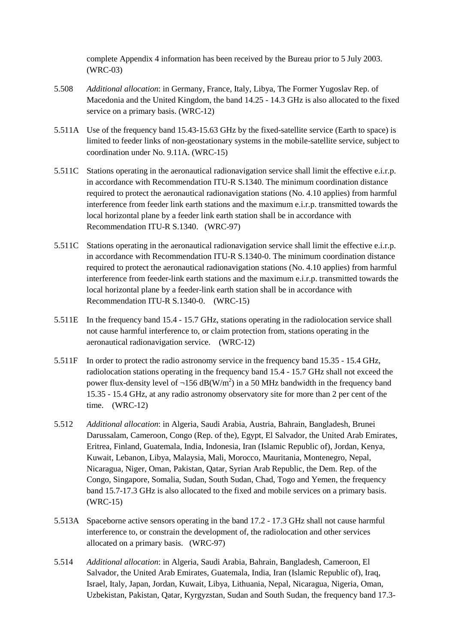complete Appendix 4 information has been received by the Bureau prior to 5 July 2003. (WRC-03)

- 5.508 *Additional allocation*: in Germany, France, Italy, Libya, The Former Yugoslav Rep. of Macedonia and the United Kingdom, the band 14.25 - 14.3 GHz is also allocated to the fixed service on a primary basis. (WRC-12)
- 5.511A Use of the frequency band 15.43-15.63 GHz by the fixed-satellite service (Earth to space) is limited to feeder links of non-geostationary systems in the mobile-satellite service, subject to coordination under No. 9.11A. (WRC-15)
- 5.511C Stations operating in the aeronautical radionavigation service shall limit the effective e.i.r.p. in accordance with Recommendation ITU-R S.1340. The minimum coordination distance required to protect the aeronautical radionavigation stations (No. 4.10 applies) from harmful interference from feeder link earth stations and the maximum e.i.r.p. transmitted towards the local horizontal plane by a feeder link earth station shall be in accordance with Recommendation ITU-R S.1340. (WRC-97)
- 5.511C Stations operating in the aeronautical radionavigation service shall limit the effective e.i.r.p. in accordance with Recommendation ITU-R S.1340-0. The minimum coordination distance required to protect the aeronautical radionavigation stations (No. 4.10 applies) from harmful interference from feeder-link earth stations and the maximum e.i.r.p. transmitted towards the local horizontal plane by a feeder-link earth station shall be in accordance with Recommendation ITU-R S.1340-0. (WRC-15)
- 5.511E In the frequency band 15.4 15.7 GHz, stations operating in the radiolocation service shall not cause harmful interference to, or claim protection from, stations operating in the aeronautical radionavigation service. (WRC-12)
- 5.511F In order to protect the radio astronomy service in the frequency band 15.35 15.4 GHz, radiolocation stations operating in the frequency band 15.4 - 15.7 GHz shall not exceed the power flux-density level of  $\neg$ 156 dB(W/m<sup>2</sup>) in a 50 MHz bandwidth in the frequency band 15.35 - 15.4 GHz, at any radio astronomy observatory site for more than 2 per cent of the time. (WRC-12)
- 5.512 *Additional allocation*: in Algeria, Saudi Arabia, Austria, Bahrain, Bangladesh, Brunei Darussalam, Cameroon, Congo (Rep. of the), Egypt, El Salvador, the United Arab Emirates, Eritrea, Finland, Guatemala, India, Indonesia, Iran (Islamic Republic of), Jordan, Kenya, Kuwait, Lebanon, Libya, Malaysia, Mali, Morocco, Mauritania, Montenegro, Nepal, Nicaragua, Niger, Oman, Pakistan, Qatar, Syrian Arab Republic, the Dem. Rep. of the Congo, Singapore, Somalia, Sudan, South Sudan, Chad, Togo and Yemen, the frequency band 15.7-17.3 GHz is also allocated to the fixed and mobile services on a primary basis. (WRC-15)
- 5.513A Spaceborne active sensors operating in the band 17.2 17.3 GHz shall not cause harmful interference to, or constrain the development of, the radiolocation and other services allocated on a primary basis. (WRC-97)
- 5.514 *Additional allocation*: in Algeria, Saudi Arabia, Bahrain, Bangladesh, Cameroon, El Salvador, the United Arab Emirates, Guatemala, India, Iran (Islamic Republic of), Iraq, Israel, Italy, Japan, Jordan, Kuwait, Libya, Lithuania, Nepal, Nicaragua, Nigeria, Oman, Uzbekistan, Pakistan, Qatar, Kyrgyzstan, Sudan and South Sudan, the frequency band 17.3-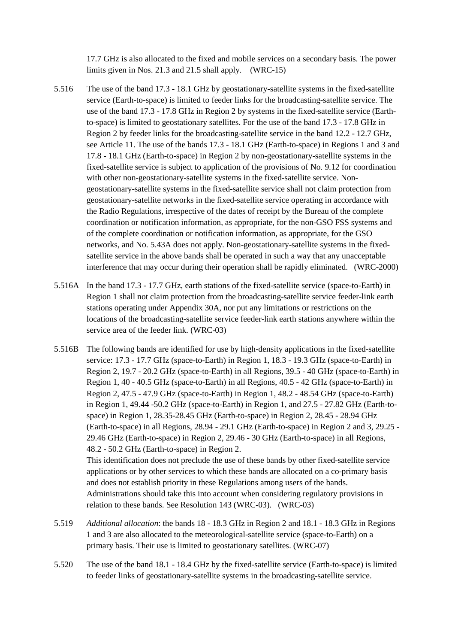17.7 GHz is also allocated to the fixed and mobile services on a secondary basis. The power limits given in Nos. 21.3 and 21.5 shall apply. (WRC-15)

- 5.516 The use of the band 17.3 18.1 GHz by geostationary-satellite systems in the fixed-satellite service (Earth-to-space) is limited to feeder links for the broadcasting-satellite service. The use of the band 17.3 - 17.8 GHz in Region 2 by systems in the fixed-satellite service (Earthto-space) is limited to geostationary satellites. For the use of the band 17.3 - 17.8 GHz in Region 2 by feeder links for the broadcasting-satellite service in the band 12.2 - 12.7 GHz, see Article 11. The use of the bands 17.3 - 18.1 GHz (Earth-to-space) in Regions 1 and 3 and 17.8 - 18.1 GHz (Earth-to-space) in Region 2 by non-geostationary-satellite systems in the fixed-satellite service is subject to application of the provisions of No. 9.12 for coordination with other non-geostationary-satellite systems in the fixed-satellite service. Nongeostationary-satellite systems in the fixed-satellite service shall not claim protection from geostationary-satellite networks in the fixed-satellite service operating in accordance with the Radio Regulations, irrespective of the dates of receipt by the Bureau of the complete coordination or notification information, as appropriate, for the non-GSO FSS systems and of the complete coordination or notification information, as appropriate, for the GSO networks, and No. 5.43A does not apply. Non-geostationary-satellite systems in the fixedsatellite service in the above bands shall be operated in such a way that any unacceptable interference that may occur during their operation shall be rapidly eliminated. (WRC-2000)
- 5.516A In the band 17.3 17.7 GHz, earth stations of the fixed-satellite service (space-to-Earth) in Region 1 shall not claim protection from the broadcasting-satellite service feeder-link earth stations operating under Appendix 30A, nor put any limitations or restrictions on the locations of the broadcasting-satellite service feeder-link earth stations anywhere within the service area of the feeder link. (WRC-03)
- 5.516B The following bands are identified for use by high-density applications in the fixed-satellite service: 17.3 - 17.7 GHz (space-to-Earth) in Region 1, 18.3 - 19.3 GHz (space-to-Earth) in Region 2, 19.7 - 20.2 GHz (space-to-Earth) in all Regions, 39.5 - 40 GHz (space-to-Earth) in Region 1, 40 - 40.5 GHz (space-to-Earth) in all Regions, 40.5 - 42 GHz (space-to-Earth) in Region 2, 47.5 - 47.9 GHz (space-to-Earth) in Region 1, 48.2 - 48.54 GHz (space-to-Earth) in Region 1, 49.44 -50.2 GHz (space-to-Earth) in Region 1, and 27.5 - 27.82 GHz (Earth-tospace) in Region 1, 28.35-28.45 GHz (Earth-to-space) in Region 2, 28.45 - 28.94 GHz (Earth-to-space) in all Regions, 28.94 - 29.1 GHz (Earth-to-space) in Region 2 and 3, 29.25 - 29.46 GHz (Earth-to-space) in Region 2, 29.46 - 30 GHz (Earth-to-space) in all Regions, 48.2 - 50.2 GHz (Earth-to-space) in Region 2. This identification does not preclude the use of these bands by other fixed-satellite service

applications or by other services to which these bands are allocated on a co-primary basis and does not establish priority in these Regulations among users of the bands. Administrations should take this into account when considering regulatory provisions in relation to these bands. See Resolution 143 (WRC-03). (WRC-03)

- 5.519 *Additional allocation*: the bands 18 18.3 GHz in Region 2 and 18.1 18.3 GHz in Regions 1 and 3 are also allocated to the meteorological-satellite service (space-to-Earth) on a primary basis. Their use is limited to geostationary satellites. (WRC-07)
- 5.520 The use of the band 18.1 18.4 GHz by the fixed-satellite service (Earth-to-space) is limited to feeder links of geostationary-satellite systems in the broadcasting-satellite service.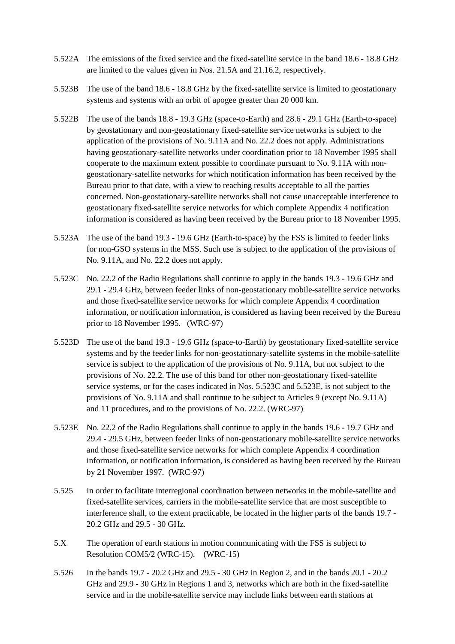- 5.522A The emissions of the fixed service and the fixed-satellite service in the band 18.6 18.8 GHz are limited to the values given in Nos. 21.5A and 21.16.2, respectively.
- 5.523B The use of the band 18.6 18.8 GHz by the fixed-satellite service is limited to geostationary systems and systems with an orbit of apogee greater than 20 000 km.
- 5.522B The use of the bands 18.8 19.3 GHz (space-to-Earth) and 28.6 29.1 GHz (Earth-to-space) by geostationary and non-geostationary fixed-satellite service networks is subject to the application of the provisions of No. 9.11A and No. 22.2 does not apply. Administrations having geostationary-satellite networks under coordination prior to 18 November 1995 shall cooperate to the maximum extent possible to coordinate pursuant to No. 9.11A with nongeostationary-satellite networks for which notification information has been received by the Bureau prior to that date, with a view to reaching results acceptable to all the parties concerned. Non-geostationary-satellite networks shall not cause unacceptable interference to geostationary fixed-satellite service networks for which complete Appendix 4 notification information is considered as having been received by the Bureau prior to 18 November 1995.
- 5.523A The use of the band 19.3 19.6 GHz (Earth-to-space) by the FSS is limited to feeder links for non-GSO systems in the MSS. Such use is subject to the application of the provisions of No. 9.11A, and No. 22.2 does not apply.
- 5.523C No. 22.2 of the Radio Regulations shall continue to apply in the bands 19.3 19.6 GHz and 29.1 - 29.4 GHz, between feeder links of non-geostationary mobile-satellite service networks and those fixed-satellite service networks for which complete Appendix 4 coordination information, or notification information, is considered as having been received by the Bureau prior to 18 November 1995. (WRC-97)
- 5.523D The use of the band 19.3 19.6 GHz (space-to-Earth) by geostationary fixed-satellite service systems and by the feeder links for non-geostationary-satellite systems in the mobile-satellite service is subject to the application of the provisions of No. 9.11A, but not subject to the provisions of No. 22.2. The use of this band for other non-geostationary fixed-satellite service systems, or for the cases indicated in Nos. 5.523C and 5.523E, is not subject to the provisions of No. 9.11A and shall continue to be subject to Articles 9 (except No. 9.11A) and 11 procedures, and to the provisions of No. 22.2. (WRC-97)
- 5.523E No. 22.2 of the Radio Regulations shall continue to apply in the bands 19.6 19.7 GHz and 29.4 - 29.5 GHz, between feeder links of non-geostationary mobile-satellite service networks and those fixed-satellite service networks for which complete Appendix 4 coordination information, or notification information, is considered as having been received by the Bureau by 21 November 1997. (WRC-97)
- 5.525 In order to facilitate interregional coordination between networks in the mobile-satellite and fixed-satellite services, carriers in the mobile-satellite service that are most susceptible to interference shall, to the extent practicable, be located in the higher parts of the bands 19.7 - 20.2 GHz and 29.5 - 30 GHz.
- 5.X The operation of earth stations in motion communicating with the FSS is subject to Resolution COM5/2 (WRC-15). (WRC-15)
- 5.526 In the bands 19.7 20.2 GHz and 29.5 30 GHz in Region 2, and in the bands 20.1 20.2 GHz and 29.9 - 30 GHz in Regions 1 and 3, networks which are both in the fixed-satellite service and in the mobile-satellite service may include links between earth stations at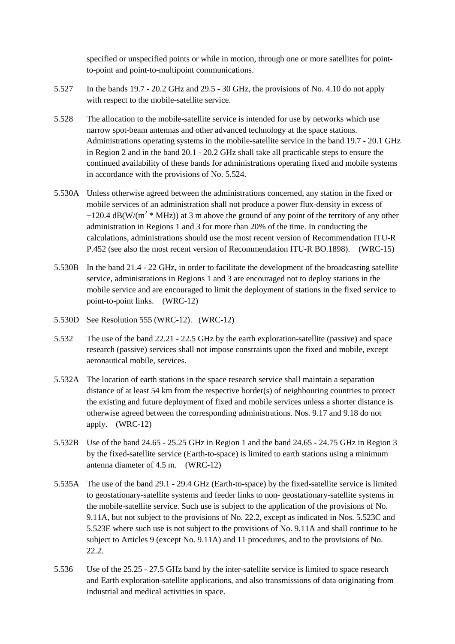specified or unspecified points or while in motion, through one or more satellites for pointto-point and point-to-multipoint communications.

- 5.527 In the bands 19.7 20.2 GHz and 29.5 30 GHz, the provisions of No. 4.10 do not apply with respect to the mobile-satellite service.
- 5.528 The allocation to the mobile-satellite service is intended for use by networks which use narrow spot-beam antennas and other advanced technology at the space stations. Administrations operating systems in the mobile-satellite service in the band 19.7 - 20.1 GHz in Region 2 and in the band 20.1 - 20.2 GHz shall take all practicable steps to ensure the continued availability of these bands for administrations operating fixed and mobile systems in accordance with the provisions of No. 5.524.
- 5.530A Unless otherwise agreed between the administrations concerned, any station in the fixed or mobile services of an administration shall not produce a power flux-density in excess of  $-120.4$  dB(W/(m<sup>2</sup> \* MHz)) at 3 m above the ground of any point of the territory of any other administration in Regions 1 and 3 for more than 20% of the time. In conducting the calculations, administrations should use the most recent version of Recommendation ITU-R P.452 (see also the most recent version of Recommendation ITU-R BO.1898). (WRC-15)
- 5.530B In the band 21.4 22 GHz, in order to facilitate the development of the broadcasting satellite service, administrations in Regions 1 and 3 are encouraged not to deploy stations in the mobile service and are encouraged to limit the deployment of stations in the fixed service to point-to-point links. (WRC-12)
- 5.530D See Resolution 555 (WRC-12). (WRC-12)
- 5.532 The use of the band 22.21 22.5 GHz by the earth exploration-satellite (passive) and space research (passive) services shall not impose constraints upon the fixed and mobile, except aeronautical mobile, services.
- 5.532A The location of earth stations in the space research service shall maintain a separation distance of at least 54 km from the respective border(s) of neighbouring countries to protect the existing and future deployment of fixed and mobile services unless a shorter distance is otherwise agreed between the corresponding administrations. Nos. 9.17 and 9.18 do not apply. (WRC-12)
- 5.532B Use of the band 24.65 25.25 GHz in Region 1 and the band 24.65 24.75 GHz in Region 3 by the fixed-satellite service (Earth-to-space) is limited to earth stations using a minimum antenna diameter of 4.5 m. (WRC-12)
- 5.535A The use of the band 29.1 29.4 GHz (Earth-to-space) by the fixed-satellite service is limited to geostationary-satellite systems and feeder links to non- geostationary-satellite systems in the mobile-satellite service. Such use is subject to the application of the provisions of No. 9.11A, but not subject to the provisions of No. 22.2, except as indicated in Nos. 5.523C and 5.523E where such use is not subject to the provisions of No. 9.11A and shall continue to be subject to Articles 9 (except No. 9.11A) and 11 procedures, and to the provisions of No. 22.2.
- 5.536 Use of the 25.25 27.5 GHz band by the inter-satellite service is limited to space research and Earth exploration-satellite applications, and also transmissions of data originating from industrial and medical activities in space.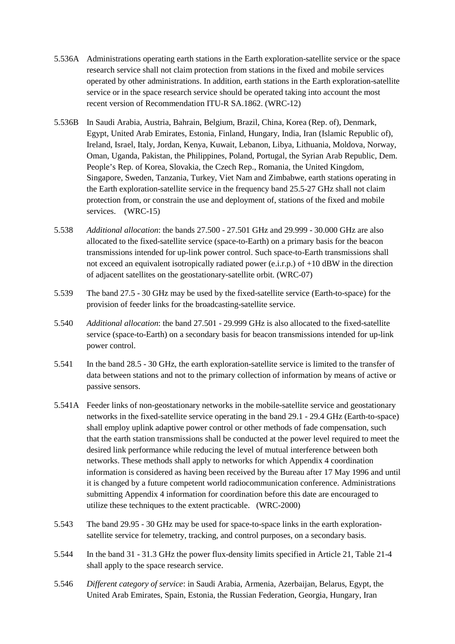- 5.536A Administrations operating earth stations in the Earth exploration-satellite service or the space research service shall not claim protection from stations in the fixed and mobile services operated by other administrations. In addition, earth stations in the Earth exploration-satellite service or in the space research service should be operated taking into account the most recent version of Recommendation ITU-R SA.1862. (WRC-12)
- 5.536B In Saudi Arabia, Austria, Bahrain, Belgium, Brazil, China, Korea (Rep. of), Denmark, Egypt, United Arab Emirates, Estonia, Finland, Hungary, India, Iran (Islamic Republic of), Ireland, Israel, Italy, Jordan, Kenya, Kuwait, Lebanon, Libya, Lithuania, Moldova, Norway, Oman, Uganda, Pakistan, the Philippines, Poland, Portugal, the Syrian Arab Republic, Dem. People's Rep. of Korea, Slovakia, the Czech Rep., Romania, the United Kingdom, Singapore, Sweden, Tanzania, Turkey, Viet Nam and Zimbabwe, earth stations operating in the Earth exploration-satellite service in the frequency band 25.5-27 GHz shall not claim protection from, or constrain the use and deployment of, stations of the fixed and mobile services. (WRC-15)
- 5.538 *Additional allocation*: the bands 27.500 27.501 GHz and 29.999 30.000 GHz are also allocated to the fixed-satellite service (space-to-Earth) on a primary basis for the beacon transmissions intended for up-link power control. Such space-to-Earth transmissions shall not exceed an equivalent isotropically radiated power (e.i.r.p.) of +10 dBW in the direction of adjacent satellites on the geostationary-satellite orbit. (WRC-07)
- 5.539 The band 27.5 30 GHz may be used by the fixed-satellite service (Earth-to-space) for the provision of feeder links for the broadcasting-satellite service.
- 5.540 *Additional allocation*: the band 27.501 29.999 GHz is also allocated to the fixed-satellite service (space-to-Earth) on a secondary basis for beacon transmissions intended for up-link power control.
- 5.541 In the band 28.5 30 GHz, the earth exploration-satellite service is limited to the transfer of data between stations and not to the primary collection of information by means of active or passive sensors.
- 5.541A Feeder links of non-geostationary networks in the mobile-satellite service and geostationary networks in the fixed-satellite service operating in the band 29.1 - 29.4 GHz (Earth-to-space) shall employ uplink adaptive power control or other methods of fade compensation, such that the earth station transmissions shall be conducted at the power level required to meet the desired link performance while reducing the level of mutual interference between both networks. These methods shall apply to networks for which Appendix 4 coordination information is considered as having been received by the Bureau after 17 May 1996 and until it is changed by a future competent world radiocommunication conference. Administrations submitting Appendix 4 information for coordination before this date are encouraged to utilize these techniques to the extent practicable. (WRC-2000)
- 5.543 The band 29.95 30 GHz may be used for space-to-space links in the earth explorationsatellite service for telemetry, tracking, and control purposes, on a secondary basis.
- 5.544 In the band 31 31.3 GHz the power flux-density limits specified in Article 21, Table 21-4 shall apply to the space research service.
- 5.546 *Different category of service*: in Saudi Arabia, Armenia, Azerbaijan, Belarus, Egypt, the United Arab Emirates, Spain, Estonia, the Russian Federation, Georgia, Hungary, Iran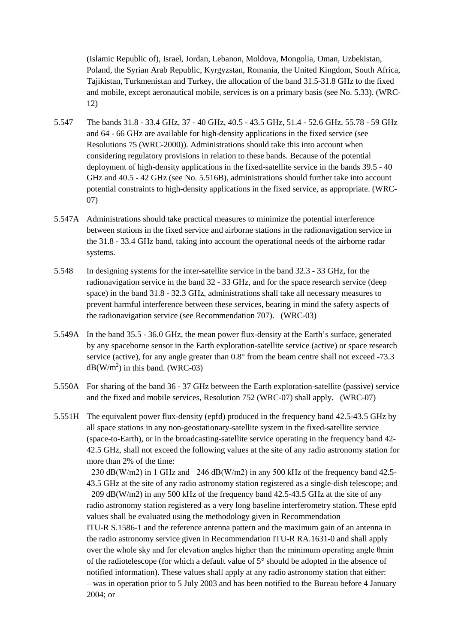(Islamic Republic of), Israel, Jordan, Lebanon, Moldova, Mongolia, Oman, Uzbekistan, Poland, the Syrian Arab Republic, Kyrgyzstan, Romania, the United Kingdom, South Africa, Tajikistan, Turkmenistan and Turkey, the allocation of the band 31.5-31.8 GHz to the fixed and mobile, except aeronautical mobile, services is on a primary basis (see No. 5.33). (WRC-12)

- 5.547 The bands 31.8 33.4 GHz, 37 40 GHz, 40.5 43.5 GHz, 51.4 52.6 GHz, 55.78 59 GHz and 64 - 66 GHz are available for high-density applications in the fixed service (see Resolutions 75 (WRC-2000)). Administrations should take this into account when considering regulatory provisions in relation to these bands. Because of the potential deployment of high-density applications in the fixed-satellite service in the bands 39.5 - 40 GHz and 40.5 - 42 GHz (see No. 5.516B), administrations should further take into account potential constraints to high-density applications in the fixed service, as appropriate. (WRC-07)
- 5.547A Administrations should take practical measures to minimize the potential interference between stations in the fixed service and airborne stations in the radionavigation service in the 31.8 - 33.4 GHz band, taking into account the operational needs of the airborne radar systems.
- 5.548 In designing systems for the inter-satellite service in the band 32.3 33 GHz, for the radionavigation service in the band 32 - 33 GHz, and for the space research service (deep space) in the band 31.8 - 32.3 GHz, administrations shall take all necessary measures to prevent harmful interference between these services, bearing in mind the safety aspects of the radionavigation service (see Recommendation 707). (WRC-03)
- 5.549A In the band 35.5 36.0 GHz, the mean power flux-density at the Earth's surface, generated by any spaceborne sensor in the Earth exploration-satellite service (active) or space research service (active), for any angle greater than  $0.8^{\circ}$  from the beam centre shall not exceed -73.3  $dB(W/m^2)$  in this band. (WRC-03)
- 5.550A For sharing of the band 36 37 GHz between the Earth exploration-satellite (passive) service and the fixed and mobile services, Resolution 752 (WRC-07) shall apply. (WRC-07)
- 5.551H The equivalent power flux-density (epfd) produced in the frequency band 42.5-43.5 GHz by all space stations in any non-geostationary-satellite system in the fixed-satellite service (space-to-Earth), or in the broadcasting-satellite service operating in the frequency band 42- 42.5 GHz, shall not exceed the following values at the site of any radio astronomy station for more than 2% of the time:

−230 dB(W/m2) in 1 GHz and −246 dB(W/m2) in any 500 kHz of the frequency band 42.5- 43.5 GHz at the site of any radio astronomy station registered as a single-dish telescope; and  $-209$  dB(W/m2) in any 500 kHz of the frequency band 42.5-43.5 GHz at the site of any radio astronomy station registered as a very long baseline interferometry station. These epfd values shall be evaluated using the methodology given in Recommendation ITU-R S.1586-1 and the reference antenna pattern and the maximum gain of an antenna in the radio astronomy service given in Recommendation ITU-R RA.1631-0 and shall apply over the whole sky and for elevation angles higher than the minimum operating angle θmin of the radiotelescope (for which a default value of 5° should be adopted in the absence of notified information). These values shall apply at any radio astronomy station that either: – was in operation prior to 5 July 2003 and has been notified to the Bureau before 4 January 2004; or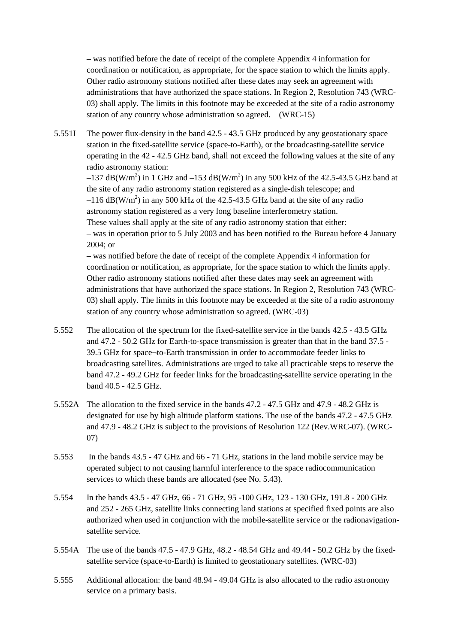– was notified before the date of receipt of the complete Appendix 4 information for coordination or notification, as appropriate, for the space station to which the limits apply. Other radio astronomy stations notified after these dates may seek an agreement with administrations that have authorized the space stations. In Region 2, Resolution 743 (WRC-03) shall apply. The limits in this footnote may be exceeded at the site of a radio astronomy station of any country whose administration so agreed. (WRC-15)

5.551I The power flux-density in the band 42.5 - 43.5 GHz produced by any geostationary space station in the fixed-satellite service (space-to-Earth), or the broadcasting-satellite service operating in the 42 - 42.5 GHz band, shall not exceed the following values at the site of any radio astronomy station:

 $-137$  dB(W/m<sup>2</sup>) in 1 GHz and  $-153$  dB(W/m<sup>2</sup>) in any 500 kHz of the 42.5-43.5 GHz band at the site of any radio astronomy station registered as a single-dish telescope; and  $-116$  dB(W/m<sup>2</sup>) in any 500 kHz of the 42.5-43.5 GHz band at the site of any radio astronomy station registered as a very long baseline interferometry station.

These values shall apply at the site of any radio astronomy station that either: – was in operation prior to 5 July 2003 and has been notified to the Bureau before 4 January 2004; or

– was notified before the date of receipt of the complete Appendix 4 information for coordination or notification, as appropriate, for the space station to which the limits apply. Other radio astronomy stations notified after these dates may seek an agreement with administrations that have authorized the space stations. In Region 2, Resolution 743 (WRC-03) shall apply. The limits in this footnote may be exceeded at the site of a radio astronomy station of any country whose administration so agreed. (WRC-03)

- 5.552 The allocation of the spectrum for the fixed-satellite service in the bands 42.5 43.5 GHz and 47.2 - 50.2 GHz for Earth-to-space transmission is greater than that in the band 37.5 - 39.5 GHz for space¬to-Earth transmission in order to accommodate feeder links to broadcasting satellites. Administrations are urged to take all practicable steps to reserve the band 47.2 - 49.2 GHz for feeder links for the broadcasting-satellite service operating in the band 40.5 - 42.5 GHz.
- 5.552A The allocation to the fixed service in the bands 47.2 47.5 GHz and 47.9 48.2 GHz is designated for use by high altitude platform stations. The use of the bands 47.2 - 47.5 GHz and 47.9 - 48.2 GHz is subject to the provisions of Resolution 122 (Rev.WRC-07). (WRC-07)
- 5.553 In the bands 43.5 47 GHz and 66 71 GHz, stations in the land mobile service may be operated subject to not causing harmful interference to the space radiocommunication services to which these bands are allocated (see No. 5.43).
- 5.554 In the bands 43.5 47 GHz, 66 71 GHz, 95 -100 GHz, 123 130 GHz, 191.8 200 GHz and 252 - 265 GHz, satellite links connecting land stations at specified fixed points are also authorized when used in conjunction with the mobile-satellite service or the radionavigationsatellite service.
- 5.554A The use of the bands 47.5 47.9 GHz, 48.2 48.54 GHz and 49.44 50.2 GHz by the fixedsatellite service (space-to-Earth) is limited to geostationary satellites. (WRC-03)
- 5.555 Additional allocation: the band 48.94 49.04 GHz is also allocated to the radio astronomy service on a primary basis.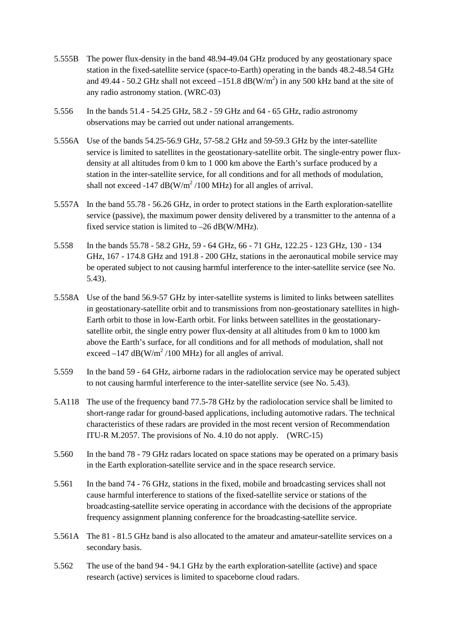- 5.555B The power flux-density in the band 48.94-49.04 GHz produced by any geostationary space station in the fixed-satellite service (space-to-Earth) operating in the bands 48.2-48.54 GHz and 49.44 - 50.2 GHz shall not exceed  $-151.8$  dB(W/m<sup>2</sup>) in any 500 kHz band at the site of any radio astronomy station. (WRC-03)
- 5.556 In the bands 51.4 54.25 GHz, 58.2 59 GHz and 64 65 GHz, radio astronomy observations may be carried out under national arrangements.
- 5.556A Use of the bands 54.25-56.9 GHz, 57-58.2 GHz and 59-59.3 GHz by the inter-satellite service is limited to satellites in the geostationary-satellite orbit. The single-entry power fluxdensity at all altitudes from 0 km to 1 000 km above the Earth's surface produced by a station in the inter-satellite service, for all conditions and for all methods of modulation, shall not exceed -147  $dB(W/m^2/100 MHz)$  for all angles of arrival.
- 5.557A In the band 55.78 56.26 GHz, in order to protect stations in the Earth exploration-satellite service (passive), the maximum power density delivered by a transmitter to the antenna of a fixed service station is limited to –26 dB(W/MHz).
- 5.558 In the bands 55.78 58.2 GHz, 59 64 GHz, 66 71 GHz, 122.25 123 GHz, 130 134 GHz, 167 - 174.8 GHz and 191.8 - 200 GHz, stations in the aeronautical mobile service may be operated subject to not causing harmful interference to the inter-satellite service (see No. 5.43).
- 5.558A Use of the band 56.9-57 GHz by inter-satellite systems is limited to links between satellites in geostationary-satellite orbit and to transmissions from non-geostationary satellites in high-Earth orbit to those in low-Earth orbit. For links between satellites in the geostationarysatellite orbit, the single entry power flux-density at all altitudes from 0 km to 1000 km above the Earth's surface, for all conditions and for all methods of modulation, shall not exceed  $-147$  dB(W/m<sup>2</sup>/100 MHz) for all angles of arrival.
- 5.559 In the band 59 64 GHz, airborne radars in the radiolocation service may be operated subject to not causing harmful interference to the inter-satellite service (see No. 5.43).
- 5.A118 The use of the frequency band 77.5-78 GHz by the radiolocation service shall be limited to short-range radar for ground-based applications, including automotive radars. The technical characteristics of these radars are provided in the most recent version of Recommendation ITU-R M.2057. The provisions of No. 4.10 do not apply. (WRC-15)
- 5.560 In the band 78 79 GHz radars located on space stations may be operated on a primary basis in the Earth exploration-satellite service and in the space research service.
- 5.561 In the band 74 76 GHz, stations in the fixed, mobile and broadcasting services shall not cause harmful interference to stations of the fixed-satellite service or stations of the broadcasting-satellite service operating in accordance with the decisions of the appropriate frequency assignment planning conference for the broadcasting-satellite service.
- 5.561A The 81 81.5 GHz band is also allocated to the amateur and amateur-satellite services on a secondary basis.
- 5.562 The use of the band 94 94.1 GHz by the earth exploration-satellite (active) and space research (active) services is limited to spaceborne cloud radars.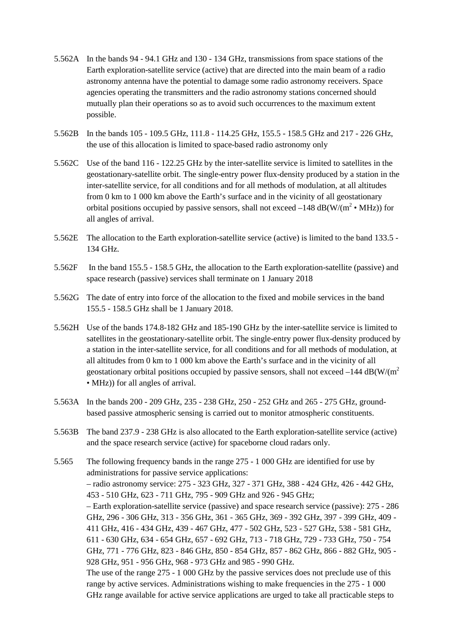- 5.562A In the bands 94 94.1 GHz and 130 134 GHz, transmissions from space stations of the Earth exploration-satellite service (active) that are directed into the main beam of a radio astronomy antenna have the potential to damage some radio astronomy receivers. Space agencies operating the transmitters and the radio astronomy stations concerned should mutually plan their operations so as to avoid such occurrences to the maximum extent possible.
- 5.562B In the bands 105 109.5 GHz, 111.8 114.25 GHz, 155.5 158.5 GHz and 217 226 GHz, the use of this allocation is limited to space-based radio astronomy only
- 5.562C Use of the band 116 122.25 GHz by the inter-satellite service is limited to satellites in the geostationary-satellite orbit. The single-entry power flux-density produced by a station in the inter-satellite service, for all conditions and for all methods of modulation, at all altitudes from 0 km to 1 000 km above the Earth's surface and in the vicinity of all geostationary orbital positions occupied by passive sensors, shall not exceed  $-148$  dB(W/( $m^2 \cdot MHz$ )) for all angles of arrival.
- 5.562E The allocation to the Earth exploration-satellite service (active) is limited to the band 133.5 134 GHz.
- 5.562F In the band 155.5 158.5 GHz, the allocation to the Earth exploration-satellite (passive) and space research (passive) services shall terminate on 1 January 2018
- 5.562G The date of entry into force of the allocation to the fixed and mobile services in the band 155.5 - 158.5 GHz shall be 1 January 2018.
- 5.562H Use of the bands 174.8-182 GHz and 185-190 GHz by the inter-satellite service is limited to satellites in the geostationary-satellite orbit. The single-entry power flux-density produced by a station in the inter-satellite service, for all conditions and for all methods of modulation, at all altitudes from 0 km to 1 000 km above the Earth's surface and in the vicinity of all geostationary orbital positions occupied by passive sensors, shall not exceed  $-144 \text{ dB}(W/(m^2))$ • MHz)) for all angles of arrival.
- 5.563A In the bands 200 209 GHz, 235 238 GHz, 250 252 GHz and 265 275 GHz, groundbased passive atmospheric sensing is carried out to monitor atmospheric constituents.
- 5.563B The band 237.9 238 GHz is also allocated to the Earth exploration-satellite service (active) and the space research service (active) for spaceborne cloud radars only.
- 5.565 The following frequency bands in the range 275 1 000 GHz are identified for use by administrations for passive service applications: – radio astronomy service: 275 - 323 GHz, 327 - 371 GHz, 388 - 424 GHz, 426 - 442 GHz, 453 - 510 GHz, 623 - 711 GHz, 795 - 909 GHz and 926 - 945 GHz; – Earth exploration-satellite service (passive) and space research service (passive): 275 - 286 GHz, 296 - 306 GHz, 313 - 356 GHz, 361 - 365 GHz, 369 - 392 GHz, 397 - 399 GHz, 409 - 411 GHz, 416 - 434 GHz, 439 - 467 GHz, 477 - 502 GHz, 523 - 527 GHz, 538 - 581 GHz, 611 - 630 GHz, 634 - 654 GHz, 657 - 692 GHz, 713 - 718 GHz, 729 - 733 GHz, 750 - 754 GHz, 771 - 776 GHz, 823 - 846 GHz, 850 - 854 GHz, 857 - 862 GHz, 866 - 882 GHz, 905 - 928 GHz, 951 - 956 GHz, 968 - 973 GHz and 985 - 990 GHz. The use of the range 275 - 1 000 GHz by the passive services does not preclude use of this range by active services. Administrations wishing to make frequencies in the  $275 - 1000$ GHz range available for active service applications are urged to take all practicable steps to